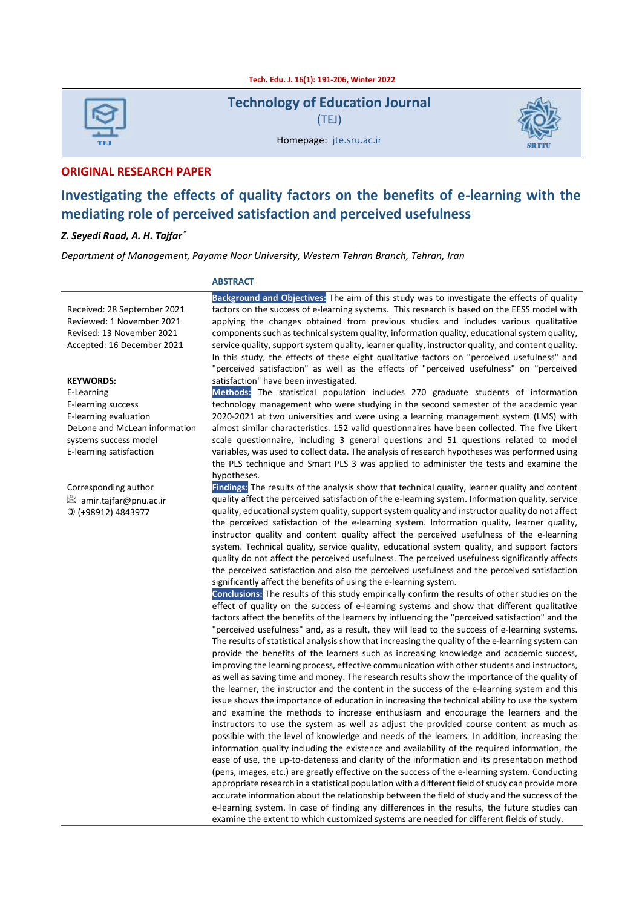**Tech. Edu. J. 16(1): 191-206, Winter 2022**

| <b>TEJ</b> |  |
|------------|--|

**Technology of Education Journal** (TEJ)



Homepage: jte.sru.ac.ir

#### **ORIGINAL RESEARCH PAPER**

# **Investigating the effects of quality factors on the benefits of e-learning with the mediating role of perceived satisfaction and perceived usefulness**

#### *Z. Seyedi Raad, A. H. Tajfar* **\***

*Department of Management, Payame Noor University, Western Tehran Branch, Tehran, Iran*

#### **ABSTRACT**

Received: 28 September 2021 Reviewed: 1 November 2021 Revised: 13 November 2021 Accepted: 16 December 2021

#### **KEYWORDS:**

E-Learning E-learning success E-learning evaluation DeLone and McLean information systems success model E-learning satisfaction

Corresponding author amir.tajfar@pnu.ac.ir (+98912) 4843977

**Background and Objectives:** The aim of this study was to investigate the effects of quality factors on the success of e-learning systems. This research is based on the EESS model with applying the changes obtained from previous studies and includes various qualitative components such as technical system quality, information quality, educational system quality, service quality, support system quality, learner quality, instructor quality, and content quality. In this study, the effects of these eight qualitative factors on "perceived usefulness" and "perceived satisfaction" as well as the effects of "perceived usefulness" on "perceived satisfaction" have been investigated.

#### **Methods:** The statistical population includes 270 graduate students of information technology management who were studying in the second semester of the academic year 2020-2021 at two universities and were using a learning management system (LMS) with almost similar characteristics. 152 valid questionnaires have been collected. The five Likert scale questionnaire, including 3 general questions and 51 questions related to model variables, was used to collect data. The analysis of research hypotheses was performed using the PLS technique and Smart PLS 3 was applied to administer the tests and examine the hypotheses.

**Findings:** The results of the analysis show that technical quality, learner quality and content quality affect the perceived satisfaction of the e-learning system. Information quality, service quality, educational system quality, support system quality and instructor quality do not affect the perceived satisfaction of the e-learning system. Information quality, learner quality, instructor quality and content quality affect the perceived usefulness of the e-learning system. Technical quality, service quality, educational system quality, and support factors quality do not affect the perceived usefulness. The perceived usefulness significantly affects the perceived satisfaction and also the perceived usefulness and the perceived satisfaction significantly affect the benefits of using the e-learning system.

**Conclusions:** The results of this study empirically confirm the results of other studies on the effect of quality on the success of e-learning systems and show that different qualitative factors affect the benefits of the learners by influencing the "perceived satisfaction" and the "perceived usefulness" and, as a result, they will lead to the success of e-learning systems. The results of statistical analysis show that increasing the quality of the e-learning system can provide the benefits of the learners such as increasing knowledge and academic success, improving the learning process, effective communication with other students and instructors, as well as saving time and money. The research results show the importance of the quality of the learner, the instructor and the content in the success of the e-learning system and this issue shows the importance of education in increasing the technical ability to use the system and examine the methods to increase enthusiasm and encourage the learners and the instructors to use the system as well as adjust the provided course content as much as possible with the level of knowledge and needs of the learners. In addition, increasing the information quality including the existence and availability of the required information, the ease of use, the up-to-dateness and clarity of the information and its presentation method (pens, images, etc.) are greatly effective on the success of the e-learning system. Conducting appropriate research in a statistical population with a different field of study can provide more accurate information about the relationship between the field of study and the success of the e-learning system. In case of finding any differences in the results, the future studies can examine the extent to which customized systems are needed for different fields of study.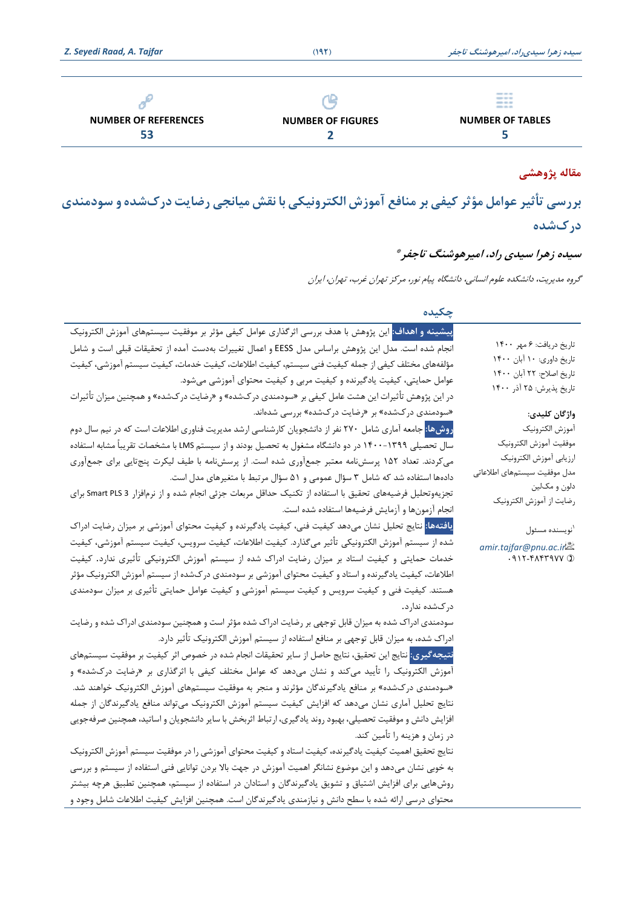|                             |                          | ---<br>---<br>---<br>--- |
|-----------------------------|--------------------------|--------------------------|
| <b>NUMBER OF REFERENCES</b> | <b>NUMBER OF FIGURES</b> | <b>NUMBER OF TABLES</b>  |
| 53                          |                          |                          |

# **م قاله پژوهشی**

بررسی تأثیر عوامل مؤثر کیفی بر منافع آموزش الکترونیکی با نقش میانجی رضایت درکشده و سودمندی **درك شده** 

## **سیده زهرا سیدی راد، امیرهوشنگ تاجفر \***

گروه مدیریت، دانشکده علوم انسانی، دانشگاه پيام نور، مركز تهران غرب، تهران، ایران

**چکیده** 

| تاريخ دريافت: ۶ مهر ۱۴۰۰                         |
|--------------------------------------------------|
| تاريخ داوري: ١٠ آبان ١۴٠٠                        |
| تاريخ اصلاح: ٢٢ أبان ١۴٠٠                        |
| تاریخ پذیرش: ۲۵ آذر ۱۴۰۰                         |
| واژگان كليدى:                                    |
| آموزش الكترونيك                                  |
| موفقيت آموزش الكترونيك                           |
| ارزيابي آموزش الكترونيك                          |
| مدل موفقيت سيستمهاى اطلاعاتى                     |
| دلون و مکـلين                                    |
| رضايت از آموزش الكترونيك                         |
| <sup>۱</sup> نویسنده مسئول                       |
| amir.tajfar@pnu.ac.in                            |
| $.911 - F_{\Lambda}$ $F_{\Lambda}$ $V_{\Lambda}$ |
|                                                  |
|                                                  |
|                                                  |
|                                                  |
|                                                  |
|                                                  |
|                                                  |
|                                                  |
|                                                  |
|                                                  |
|                                                  |
|                                                  |
|                                                  |
|                                                  |
|                                                  |

محتوای درسی ارائه شده با سطح دانش و نيازمندی یادگيرندگان است. همچنين افزایش كيفيت اطالعات شامل وجود و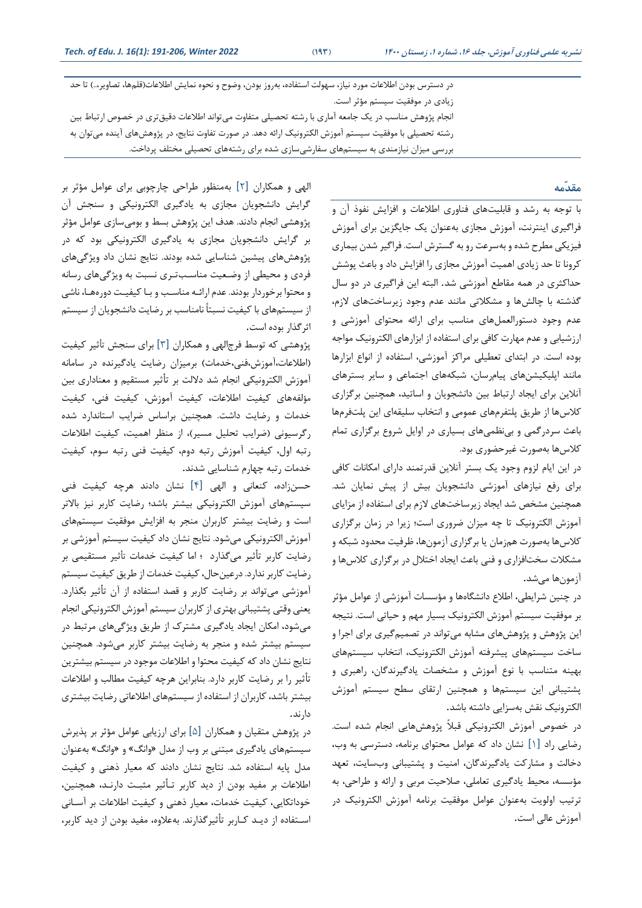در دسترس بودن اطلاعات مورد نیاز، سهولت استفاده، بهروز بودن، وضوح و نحوه نمایش اطلاعات(قلمها، تصاویر…) تا حد زیادی در موفقيت سيستم مؤثر است. انجام پژوهش مناسب در یک جامعه آماری با رشته تحصيلی متفاوت میتواند اطالعات دقيقتری در خصوص ارتباط بين رشته تحصيلی با موفقيت سيستم آموزش الکترونيک ارائه دهد. در صورت تفاوت نتایج، در پژوهشهای آینده میتوان به بررسی ميزان نيازمندی به سيستمهای سفارشیسازی شده برای رشتههای تحصيلی مختلف پرداخت.

**مقدّمه**

با توجه به رشد و قابليتهای فناوری اطالعات و افزایش نفوذ آن و فراگيری اینترنت، آموزش مجازی به عنوان یک جایگزین برای آموزش فيزیکی مطرح شده و بهسرعت رو به گسترش است. فراگير شدن بيماری كرونا تا حد زیادی اهميت آموزش مجازی را افزایش داد و باعث پوشش حداكثری در همه مقاطع آموزشی شد. البته این فراگيری در دو سال گذشته با چالشها و مشکالتی مانند عدم وجود زیرساخت های الزم، عدم وجود دستورالعملهای مناسب برای ارائه محتوای آموزشی و ارزشيابی و عدم مهارت كافی برای استفاده از ابزارهای الکترونيک مواجه بوده است. در ابتدای تعطيلی مراكز آموزشی، استفاده از انواع ابزارها مانند اپليکيشن های پيام رسان، شبکههای اجتماعی و سایر بسترها ی آنلاین برای ایجاد ارتباط بين دانشجويان و اساتيد، همچنين برگزاري كالسها از طریق پلتفرمهای عمومی و انتخاب سليقه ای این پلت فرمها باعث سردرگمی و بینظمیهای بسياری در اوایل شروع برگزار ی تمام كلاسها به صورت غير حضور ی بود.

در این ایام لزوم وجود یک بستر آنالین قدرتمند دارای امکانات كافی برای رفع نيازهای آموزشی دانشجويان بيش از پيش نمايان شد. همچنين مشخص شد ایجاد زیرساختهای الزم برای استفاده از مزایای آموزش الکترونيک تا چه ميزان ضروری است؛ زیرا در زمان برگزار ی كالسها بهصورت همزمان یا برگزاری آزمونها، ظرفيت محدود شبکه و مشکلات سخت افزاری و فنی باعث ایجاد اختلال در برگزاری كلاسها و آزمون ها می شد.

در چنين شرایطی، اطالع دانشگاه ها و مؤسسات آموزشی از عوامل مؤثر بر موفقيت سيستم آموزش الکترونيک بسيار مهم و حياتی است. نتيجه این پژوهش و پژوهشهای مشابه میتواند در تصمیمگیری برای اجرا و ساخت سيستمهای پيشرفته آموزش الکترونيک، انتخاب سيستمهای بهينه متناسب با نوع آموزش و مشخصات یادگيرندگان، راهبر ی و پشتيبانی این سيستمها و همچنين ارتقای سطح سيستم آموزش الکترونيک نقش بهسزایی داشته باشد .

در خصوص آموزش الکترونيکی قبالً پژوهشهایی انجام شده است. رضایی راد [۱] نشان داد كه عوامل محتوای برنامه، دسترسی به وب، دخالت و مشاركت یادگیرندگان، امنیت و پشتیبانی وبسایت، تعهد مؤسسه، محيط یادگيری تعاملی، صالحيت مربی و ارائه و طراحی ، به ترتيب اولويت بهعنوان عوامل موفقيت برنامه آموزش الکترونيک در آموزش عالی است .

الهی و همکاران [2] به منظور طراحی چارچوبی برای عوامل مؤثر بر گرایش دانشجویان مجازی به یادگيری الکترونيکی و سنجش آن پژوهشی انجام دادند. هدف این پژوهش بسط و بومیسازی عوامل مؤثر بر گرایش دانشجویان مجازی به یادگيری الکترونيکی بود كه در پژوهشهای پيشين شناسایی شده بودند. نتایج نشان داد ویژگیهای فردی و محيطی از وضـعيت مناسـب تـری نسبت به ویژگیهای رسانه و محتوا برخوردار بودند. عدم ارائـه مناسـب و بـا كيفيـت دورههـا، ناشى از سيستمهای با كيفيت نسبتاً نامناسب بر رضایت دانشجویان از سيستم اثرگذار بوده است.

پژوهشی كه توسط فرج|لهی و همكاران [۳] برای سنجش تأثير كيفيت (اطلاعات،آموزش،فنی،خدمات) برميزان رضايت يادگيرنده در سامانه آموزش الکترونيکی انجام شد داللت بر تأثير مستقيم و معناداری بين مؤلفههای كيفيت اطالعات، كيفيت آموزش، كيفيت فنی، كيفيت خدمات و رضایت داشت. همچنين براساس ضرایب استاندارد شده رگرسيونی )ضرایب تحليل مسير(، از منظر اهميت، كيفيت اطالعات رتبه اول، كيفيت آموزش رتبه دوم، كيفيت فنی رتبه سوم، كيفيت خدمات رتبه چهارم شناسایی شدند.

حسن زاده، كنعانی و الهی [4] نشان دادند هرچه كيفيت فنی سيستمهای آموزش الکترونيکی بيشتر باشد؛ رضايت كاربر نيز بالاتر است و رضایت بيشتر كاربران منجر به افزایش موفقيت سيستمهای آموزش الکترونيکی می شود. نتایج نشان داد كيفيت سيستم آموزشی بر رضایت كاربر تأثير می گذارد ؛ اما ك يفيت خدمات تأثير مستقيمی بر رضایت كاربر ندارد. درعين حال، كيفيت خدمات از طریق كيفيت سيستم آموزشی میتواند بر رضایت كاربر و قصد استفاده از آن تأثير بگذارد. یعنی وقتی پشتيبانی بهتری از كاربران سيستم آموزش الکترونيکی انجام میشود، امکان ایجاد یادگير ی مشترک از طریق ویژگی های مرتبط در سيستم بيشتر شده و منجر به رضایت بيشتر كاربر می شود. همچنين نتایج نشان داد كه كيفيت محتوا و اطالعات موجود در سيستم بيشترین تأثير را بر رضایت كاربر دارد. بنابراین هرچه كيفيت مطالب و اطالعات بيشتر باشد، كاربران از استفاده از سيستمهای اطالعاتی رضایت بيشتری دارند.

در پژوهش متقيان و همکاران [5] برای ارزیابی عوامل مؤثر بر پذیرش سيستمهای یادگيری مبتنی بر وب از مدل »وانگ« و »وانگ« بهعنوان مدل پایه استفاده شد. نتایج نشان دادند كه معيار ذهنی و كيفيت اطالعات بر مفيد بودن از دید كاربر تـأثير مثبـت دارنـد، همچنين، خوداتکایی، كيفيت خدمات، معيار ذهنی و كيفيت اطلاعات بر آسـانی اسـتفاده از دیـد كـاربر تأثيرگذارند. بهعالوه، مفيد بودن از دید كاربر،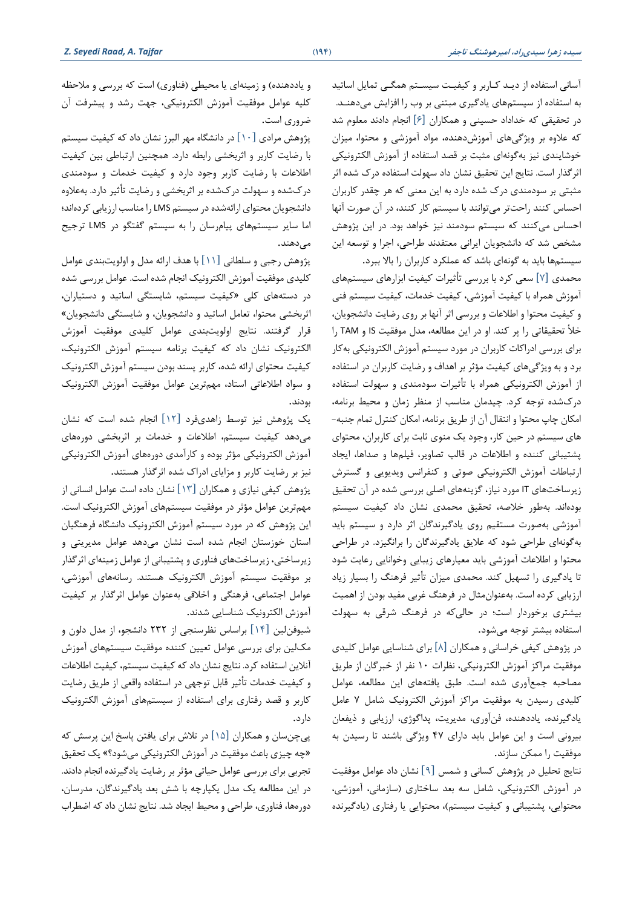آسانی استفاده از دیـد كـاربر و كيفيـت سيسـتم همگـی تمایل اساتيد به استفاده از سيستمهای یادگيری مبتنی بر وب را افزایش می دهنـد. در تحقيقی كه خداداد حسينی و همکاران [6] انجام دادند معلوم شد كه عالوه بر وی ژگیهای آموزش دهنده، مواد آموزشی و محتوا، ميزان خوشایندی نيز به گونه ای مثبت بر قصد استفاده از آموزش الکتروني کی اثرگذار است. نتایج این تحقيق نشان داد سهولت استفاده درک شده اثر مثبتی بر سودمندی درک شده دارد به این معنی كه هر چقدر كاربران احساس كنند راحتتر می توانند با سيستم كار كنند، در آن صورت آنها احساس می كنند كه سيستم سودمند نيز خواهد بود. در این پژوهش مشخص شد كه دانشجویان ایرانی معتقدند طراحی، اجرا و توسعه این

سيستمها باید به گونهای باشد كه عملکرد كاربران را باال ببرد. محمدی [7] سعی كرد با بررسی تأثي رات كيفيت ابزارهای سيستم های آموزش همراه با كيفيت آموزشی، كيفيت خدمات، كيفيت سيستم فنی و كيفيت محتوا و اطالعات و بررسی اثر آنها بر روی رضایت دانشجویان، خأل تحقيقاتی را پر كند. او در این مطالعه، مدل موفقيت IS و TAM را برای بررسی ادراكات كاربران در مورد سيستم آموزش الكترونيكی بهكار برد و به ویژگی های كيفيت مؤثر بر اهداف و رضایت كاربران در استفاده از آموزش الکترونيکی همراه با تأثيرات سودمندی و سهولت استفاده درکشده توجه كرد. چيدمان مناسب از منظر زمان و محيط برنامه، امکان چاپ محتوا و انتقال آن از طریق برنامه، امکان كنترل تمام جنبه- های سیستم در حین كار، وجود یک منوی ثابت برای كاربران، محتوای پشتيبانی كننده و اطالعات در قالب تصاویر، فيلمها و صداها، ایجاد ارتباطات آموزش الکترونيکی صوتی و كنفرانس ویدیویی و گسترش زیرساخت های IT مورد نياز، گزینهها ی اصلی بررسی شده در آن تحقيق بوده اند. بهطور خالصه، تحقيق محمدی نشان داد كيفيت سيستم آموزشی بهصورت مستقيم روی یادگيرندگان اثر دارد و سيستم باید بهگونهای طراحی شود كه علایق یادگیرندگان را برانگیزد. در طراحی محتوا و اطالعات آموزشی باید معيارهای زیبایی وخوانایی رعایت شود تا یادگیری را تسهیل كند. محمدی میزان تأثیر فرهنگ را بسیار زیاد ارزیابی كرده است. بهعنوانمثال در فرهنگ غربی مفيد بودن از اهميت بيشتری برخوردار است ؛ در حا لیكه در فرهنگ شرقی به سهولت استفاده بيشتر توجه می شود.

در پژوهش كيفی خراسانی و همکاران [8] برای شناسایی عوامل كليدی موفقيت مراكز آموزش الکترونيکی ، نظرات 10 نفر از خبرگان از طریق مصاحبه جمع آوری شده است. طبق یافتههای این مطالعه، عوامل كليدی رسيدن به موفقيت مراكز آموزش الكترونيک شامل ٧ عامل یادگیرنده، یاددهنده، فن آوری، مدیریت، پداگوژی، ارزیابی و ذیفعان بيرونی است و این عوامل باید دارای ۴۷ ویژگی باشند تا رسیدن به موفقيت را ممکن سازند.

نتایج تحليل در پژوهش كسانی و شمس [9] نشان داد عوامل موفقيت در آموزش الکترونيکي، شامل سه بعد ساختاري (سازماني، آموزشي، محتوایی، پشتيبانی و كيفيت سيستم(، محتوایی یا رفتاری )یادگيرنده

و یاددهنده) و زمينهای یا محيطی (فناوری) است كه بررسی و ملاحظه كليه عوامل موفقيت آموزش الكترونيكي، جهت رشد و پيشرفت آن ضرور ی است .

پژوهش مرادی  $[1 \cdot]$  در دانشگاه مهر البرز نشان داد كه كيفيت سيستم با رضایت كاربر و اثربخشی رابطه دارد. همچنين ارتباطی بين كيفيت اطالعات با رضایت كاربر وجود دارد و كيفيت خدمات و سودمندی درکشده و سهولت درکشده بر اثربخشی و رضایت تأثیر دارد. بهعلاوه دانشجویان محتوای ارائه شده در سيستم LMS را مناسب ارزیابی كرده اند؛ اما سایر سيستمهای پيامرسان را به سيستم گفتگو در LMS ترجيح مے دھند.

پژوهش رجبی و سلطانی [11] با هدف ارائه مدل و اولویت بندی عوامل كليدی موفقيت آموزش الکترونيک انجام شده است. عوامل بررسی شده در دستههای كلی «كيفيت سيستم، شايستگی اساتيد و دستياران، اثربخشی محتوا، تعامل اساتيد و دانشجویان، و شایستگی دانشجویان« قرار گرفتند. نتایج اولویت بندی عوامل كليدی موفقيت آموزش الکتروني ک نشان داد كه كيفيت برنامه سيستم آموزش الکترونيک، كيفيت محتوای ارائه شده، كاربر پسند بودن سيستم آموزش الکترونيک و سواد اطالعاتی استاد، مهم ترین عوامل موفقيت آموزش الکترونيک بودند.

یک پژوهش نیز توسط زاهدیفرد [۱۲] انجام شده است که نشان میدهد كيفيت سيستم، اطالعات و خدمات بر اثربخشی دوره های آموزش الکترونيکی مؤثر بوده و كارآمدی دوره های آموزش الکتروني کی نيز بر رضايت كاربر و مزاياي ادراک شده اثرگذار هستند.

پژوهش كيفی نيازی و همکاران [13] نشان داده است عوامل انسانی از مهم ترین عوامل مؤثر در موفقيت سيستمهای آموزش الکترونيک است. این پژوهش كه در مورد سيستم آموزش الكترونيک دانشگاه فرهنگيان استان خوزستان انجام شده است نشان میدهد عوامل مدیریتی و زیرساختی، زیرساخت های فناور ی و پشتيبانی از عوامل زمينهای اثرگذار بر موفقيت سيستم آموزش الکترونيک هستند. رسانه های آموزشی ، عوامل اجتماعی، فرهنگی و اخالقی بهعنوان عوامل اثرگذار بر كيفيت آموزش الکترونيک شناسایی شدند.

شيو فنلين [14] براساس نظرسنجی از 232 دانشجو، از مدل دلون و مک لين براي بررسي عوامل تعيين كننده موفقيت سيستمهاي آموزش آنلاین استفاده كرد. نتایج نشان داد كه كيفيت سيستم، كيفيت اطلاعات و كيفيت خدمات تأثير قابل توجهی در استفاده واقعی از طریق رضایت كاربر و قصد رفتاری برای استفاده از سيستمهای آموزش الکترونيک دارد.

پیچن سان و همکاران [۱۵] در تلاش برای یافتن پاسخ این پرسش كه »چه چيز ی باعث موفقيت در آموزش الکتروني کی می شود؟« یک تحقيق تجربی برای بررسی عوامل حياتی مؤثر بر رضایت یادگيرنده انجام دادند. در این مطالعه یک مدل یکپارچه با شش بعد یادگيرندگان، مدرسان، دوره ها، فناور ی، طراحی و محيط ایجاد شد. نتایج نشان داد كه اضطراب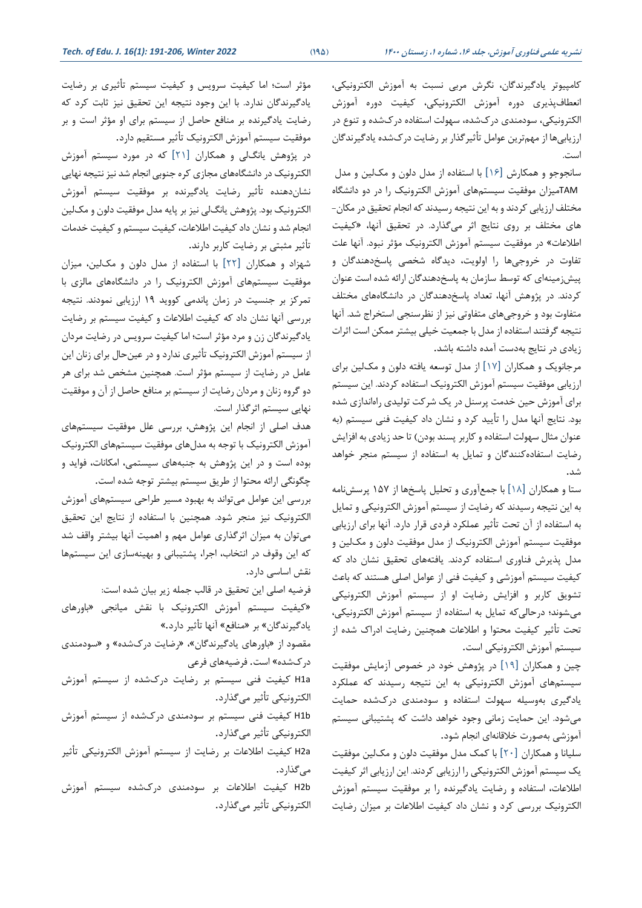كامپيوتر یادگيرندگان، نگرش مربی نسبت به آموزش الکتروني کی، انعطاف پذیری دوره آموزش الکترونیکی، کیفیت دوره آموزش الکترونيکی، سودمندی در کشده، سهولت استفاده در کشده و تنوع در ارزیابی ها از مهمترین عوامل تأثيرگذار بر رضایت درکشده یادگيرندگان است.

سانجوجو و همکارش [16] با استفاده از مدل دلون و مک لين و مدل TAMميزان موفقيت سيستم های آموزش الکترونيک را در دو دانشگاه مختلف ارزیابی كردند و به این نتيجه رسيدند كه انجام تحقيق در مکان- های مختلف بر روی نتایج اثر میگذارد. در تحقیق آنها، «كيفيت اطلاعات» در موفقيت سيستم آموزش الکترونيک مؤثر نبود. آنها علت تفاوت در خروجی ها را اولویت، دیدگاه شخصی پاسخدهندگان و پيش زمينهای كه توسط سازمان به پاسخدهندگان ارائه شده است عنوان كردند. در پژوهش آنها، تعداد پاسخدهندگان در دانشگاههای مختلف متفاوت بود و خروجی های متفاوتی ني ز از نظرسنجی استخراج شد. آنها نتيجه گرفتند استفاده از مدل با جمعيت خيلي بيشتر ممكن است اثرات زیادی در نتایج بهدست آمده داشته باشد .

مرجانویک و همکاران [17] از مدل توسعه یافته دلون و مکلين برا ی ارزیابی موفقيت سيستم آموزش الکترونيک استفاده كردند. این سيستم برای آموزش حين خدمت پرسنل در يک شركت توليدی راهاندازی شده بود. نتایج آنها مدل را تأیيد كرد و نشان داد كيفيت فنی سيستم )به عنوان مثال سهولت استفاده و كاربر پسند بودن) تا حد زیادی به افزایش رضایت استفاده كنندگان و تمایل به استفاده از سيستم منجر خواهد شد.

ستا و همکار ان [18] با جمع آور ی و تحليل پاسخ ها از 157 پرسش نامه به این نتيجه رسيدند كه رضايت از سيستم آموزش الكترونيكي و تمايل به استفاده از آن تحت تأثير عملكرد فردی قرار دارد. آنها برای ارزيابی موفقيت سيستم آموزش الکترونيک از مدل موفقيت دلون و مک لين و مدل پذیرش فناور ی استفاده كردند. یافتههای تحقيق نشان داد كه كيفيت سيستم آموزشي و كيفيت فني از عوامل اصلي هستند كه باعث تشویق كاربر و افزایش رضایت او از سيستم آموزش الکترونيکی میشوند؛ درحالی كه تمایل به استفاده از سيستم آموزش الکترونيکی، تحت تأثير كيفيت محتوا و اطالعات همچنين رضایت ادراک شده از سيستم آموزش الکترونيکی است.

چين و همکاران [19] در پژوهش خود در خصوص آزمایش موفقيت سيستمهای آموزش الکتروني کی به این نتيجه رسيدند كه عملکرد یادگيری بهوسيله سهولت استفاده و سودمندی درک شده حمایت میشود. این حمایت زمانی وجود خواهد داشت كه پشتيبانی سيستم آموزشی بهصورت خالقانه ای انجام شود.

سليانا و همکاران [20] با كمک مدل موفقيت دلون و مکلين موفقيت یک سيستم آموزش الکتروني کی را ارز یابی كردند. این ارزیابی اثر كيفيت اطالعات، استفاده و رضایت یادگيرنده را بر موفقيت سيستم آموزش الکترونيک بررسی كرد و نشان داد كيفيت اطالعات بر ميزان رضایت

مؤثر است؛ اما كيفيت سرويس و كيفيت سيستم تأثيری بر رضايت یادگیرندگان ندارد. با این وجود نتیجه این تحقیق نیز ثابت كرد كه رضایت یادگيرنده بر منافع حاصل از سيستم برای او مؤثر است و بر موفقيت سيستم آموزش الکترونيک تأثير مستقيم دارد.

در پژوهش یانگ لی و همکاران [21] كه در مورد سيستم آموزش الکترونيک در دانشگاههای مجازی كره جنوبی انجام شد نيز نتيجه نهايی نشاندهنده تأثير رضایت یادگيرنده بر موفقيت سيستم آموزش الکترونيک بود. پژوهش یانگ لی نيز بر پایه مدل موفقيت دلون و مک لين انجام شد و نشان داد كيفيت اطالعات، كيفيت سيستم و كيفيت خدمات تأثير مثبتی بر رضایت كاربر دارند.

شهزاد و همکاران [22] با استفاده از مدل دلون و مک لين، مي زان موفقيت سيستمهای آموزش الکترونيک را در دانشگاههای مالزی با تمركز بر جنسيت در زمان پاندمی كووید 19 ارزیابی نمودند. نتيجه بررسی آنها نشان داد كه كيفيت اطالعات و كيفيت سيستم بر رضایت یادگيرندگان زن و مرد مؤثر است ؛ اما كيفيت سرویس در رضایت مردان از سيستم آموزش الکترونيک تأثيري ندارد و در عينحال براي زنان اين عامل در رضایت از سیستم مؤثر است. همچنین مشخص شد برای هر دو گروه زنان و مردان رضایت از سيستم بر منافع حاصل از آن و موفقيت نهایی سيستم اثرگذار است.

هدف اصلی از انجام این پژوهش، بررسی علل موفقيت سيستمهای آموزش الکترونيک با توجه به مدلهای موفقيت سيستمهای الکترونيک بوده است و در این پژوهش به جنبههای سيستمی، امکانات، فواید و چگونگی ارائه محتوا از طریق سيستم بيشتر توجه شده است.

بررسی این عوامل میتواند به بهبود مسير طراحی سيستم های آموزش الکترونيک نيز منجر شود. همچنين با استفاده از نتايج اين تحقيق میتوان به ميزان اثرگذاری عوامل مهم و اهميت آنها بيشتر واقف شد كه این وقوف در انتخاب، اجرا، پشتيبانی و بهينه سازی این سيستمها نقش اساسی دارد.

فرضيه اصلی این تحقيق در قالب جمله زیر بيان شده است: «كيفيت سيستم آموزش الكترونيك با نقش ميانجي «باورهاي یادگيرندگان« بر »منافع« آنها تأثير دارد.« مقصود از »باورهای یادگيرندگان«، »رضایت درکشده« و »سودمندی درکشده« است. فرضيههای فرعی H1a كيفيت فنی سيستم بر رضايت دركشده از سيستم آموزش الکترونيکی تأثير میگذارد. b1H كيفيت فنی سيستم بر سودمندی درک شده از سيستم آموزش الکترونيکي تأثير میگذارد. a2H كيفيت اطالعات بر رضایت از سيستم آموزش الکترونيکی تأثير میگذارد. b2H كيفيت اطالعات بر سودمندی درک شده سيستم آموزش الکترونيکی تأثير میگذارد.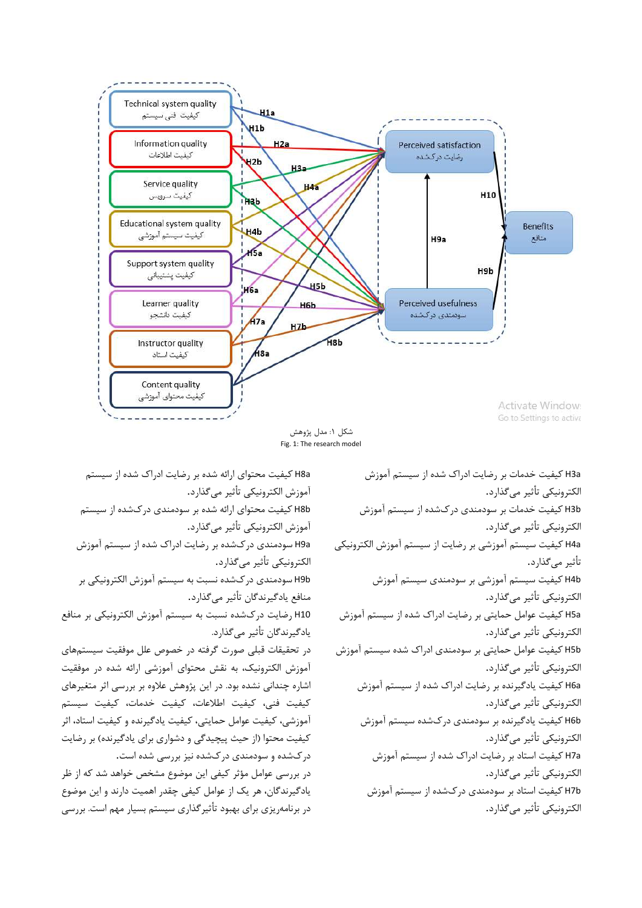

Fig. 1: The research model

a8H كيفيت محتوای ارائه شده بر رضایت ادراک شده از سيستم آموزش الکترونيکی تأثير میگذارد. b8H كيفيت محتوای ارائه شده بر سودمندی درک شده از سيستم آموزش الکترونيکی تأثير میگذارد. a9H سودمندی درک شده بر رضایت ادراک شده از سيستم آموزش الکترونيکی تأثير میگذارد. b9H سودمند ی درک شده نسبت به سيستم آموزش الکترونيکی بر منافع یادگيرندگان تأثير میگذارد. 10H رضایت درکشده نسبت به سيستم آموزش الکترونيکی بر منافع یادگيرندگان تأثير میگذارد. در تحقيقات قبلی صورت گرفته در خصوص علل موفقيت سيستمهای آموزش الکترونيک، به نقش محتوای آموزشی ارائه شده در موفقيت اشاره چندانی نشده بود. در این پژوهش عالوه بر بررسی اثر متغيرها ی كيفيت فني، كيفيت اطلاعات، كيفيت خدمات، كيفيت سيستم آموزشی، كيفيت عوامل حمایتی، كيفيت یادگيرنده و كيفيت استاد، اثر كيفيت محتوا (از حيث پيچيدگی و دشواری برای یادگيرنده) بر رضايت درکشده و سودمند ی درک شده نيز بررسی شده است. در بررسی عوامل مؤثر كيفی این موضوع مشخص خواهد شد كه از ظر یادگيرندگان، هر یک از عوامل كيفی چقدر اهميت دارند و این موضوع در برنامهریزی برای بهبود تأثیر گذاری سیستم بسیار مهم است. بررسی

a3H كيفيت خدمات بر رضایت ادراک شده از سيستم آموزش الکترونيکي تأثير می گذارد. b3H كيفيت خدمات بر سودمند ی درکشده از سيستم آموزش الکترونيکي تأثير می گذارد. H4a كيفيت سيستم آموزشي بر رضايت از سيستم آموزش الكترونيكي تأثير میگذارد. b4H كيفيت سيستم آموزشی بر سودمندی سيستم آموزش الکترونيکي تأثير مي گذارد. a5H كيفيت عوامل حمایتی بر رضایت ادراک شده از سيستم آموزش الکترونيکی تأثير میگذارد. b5H كيفيت عوامل حمایتی بر سودمندی ادراک شده سيستم آموزش الکترونيکی تأثير می گذارد. a6H كيفيت یادگيرنده بر رضایت ادراک شده از سيستم آموزش الکترونيکي تأثير میگذارد. b6H كيفيت یادگيرنده بر سودمندی درکشده سيستم آموزش الکترونيکي تأثير مي گذارد. a7H كيفيت استاد بر رضایت ادراک شده از سيستم آموزش الکترونيکي تأثير می گذارد. b7H كيفيت استاد بر سودمندی درکشده از سيستم آموزش الکترونيکی تأثير میگذارد.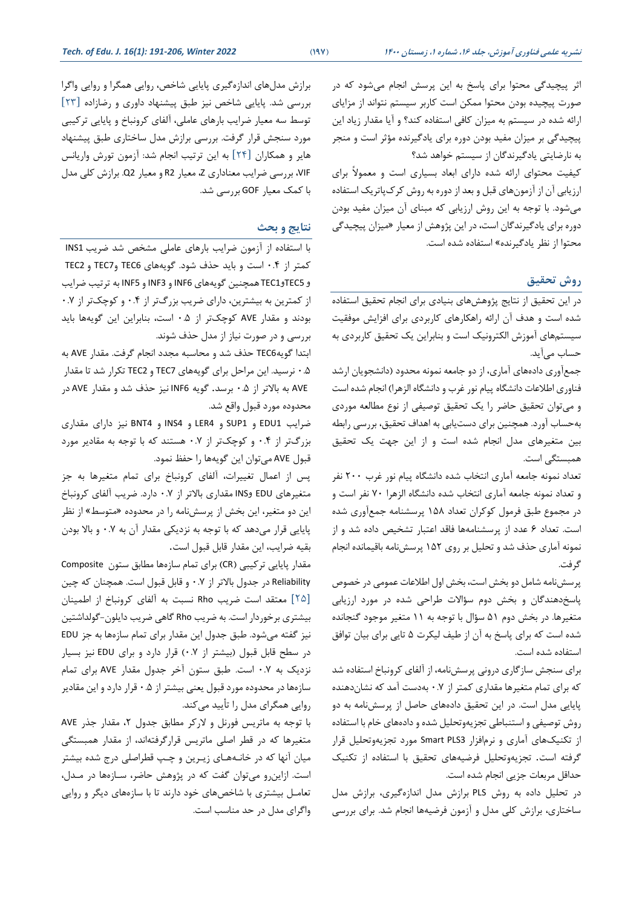اثر پيچيدگی محتوا برای پاسخ به اين پرسش انجام میشود كه در صورت پيچيده بودن محتوا ممکن است كاربر سيستم نتواند از مزایا ی ارائه شده در سيستم به ميزان كافی استفاده كند؟ و آیا مقدار زیاد این پيچيدگی بر ميزان مفيد بودن دوره براي يادگيرنده مؤثر است و منجر به نارضایتی یادگيرندگان از سيستم خواهد شد؟

كيفيت محتوای ارائه شده دارای ابعاد بسياری است و معمولاً برای ارزیابی آن از آزمون های قبل و بعد از دوره به روش كرک پاتریک استفاده میشود. با توجه به این روش ارزیاب ی كه مبنای آن ميزان مفيد بودن دوره برای یادگیرندگان است، در این پژوهش از معیار «میزان پیچیدگی محتوا از نظر یادگيرنده« استفاده شده است.

### **روش تحقیق**

در این تحقیق از نتایج پژوهش های بنیادی برای انجام تحقیق استفاده شده است و هدف آن ارائه راهکارهای کاربردی برای افزایش موفقیت سيستمهای آموزش الکترونيک است و بنابراین یک تحقيق كاربردی به حساب می آید.

جمع آوری دادههای آماری، از دو جامعه نمونه محدود (دانشجویان ارشد فناوری اطلاعات دانشگاه پيام نور غرب و دانشگاه الزهرا) انجام شده است و میتوان تحقيق حاضر را يک تحقيق توصيفی از نوع مطالعه موردی بهحساب آورد. همچنين براي دستيابي به اهداف تحقيق، بررسي رابطه بين متغيرهای مدل انجام شده است و از این جهت یک تحقيق همبستگی است.

تعداد نمونه جامعه آماری انتخاب شده دانشگاه پيام نور غرب 200 نفر و تعداد نمونه جامعه آمار ی انتخاب شده دانشگاه الزهرا 70 نفر است و در مجموع طبق فرمول كوكران تعداد 158 پرسشنامه جمع آور ی شده است. تعداد ۶ عدد از پرسشنامهها فاقد اعتبار تشخيص داده شد و از نمونه آماری حذف شد و تحليل بر رو ی 152 پرسش نامه باقيمانده انجام گرفت.

پرسش نامه شامل دو بخش است، بخش اول اطالعات عمومی در خصوص پاسخ دهندگان و بخش دوم سؤالات طراحی شده در مورد ارزیابی متغيرها. در بخش دوم 51 سؤال با توجه به 11 متغ ير موجود گنجانده شده است كه برای پاسخ به آن از طيف ليكرت ۵ تايی برای بيان توافق استفاده شده است.

برای سنجش سازگاری درونی پرسشiامه، از آلفای كرونباخ استفاده شد كه برای تمام متغيرها مقداری كمتر از 0.7 بهدست آمد كه نشان دهنده پایایی مدل است. در این تحقيق دادههای حاصل از پرسش نامه به دو روش توصيفی و استنباطی تجزیه وتحليل شده و داده های خام با استفاده از تکنيکهای آماري و نرمافزار Smart PLS3 مورد تجزیهوتحليل قرار گرفته است. تجزیهوتحليل فرضيههای تحقيق با استفاده از تکنيک حداقل مربعات جزیی انجام شده است.

در تحليل داده به روش PLS برازش مدل اندازه گيری، برازش مدل ساختاری، برازش كلی مدل و آزمون فرضيهها انجام شد. برای بررسی

برازش مدلهای اندازه گيری پایایی شاخص، روایی همگرا و روایی واگرا بررسی شد. پایایی شاخص نیز طبق پیشنهاد داوری و رضازاده [٢٣] توسط سه معيار ضرايب بارهای عاملی، آلفای كرونباخ و پايایی تركيبی مورد سنجش قرار گرفت. بررسی برازش مدل ساختاری طبق پيشنهاد هایر و همکاران [24] به این ترتيب انجام شد: آزمون تورش واریانس VIF، بررسی ضرایب معنادار ی Z، معيار 2R و معيار 2Q. برازش كلی مدل با كمک معيار GOF بررسی شد.

#### **نتایج و بحث**

با استفاده از آزمون ضرایب بارهای عاملی مشخص شد ضریب INS1 كمتر از 0.4 است و باید حذف شود. گویههای 6TEC و7TEC و 2TEC و 5TECو 1TEC همچنين گویههای 6INF و 3INF و 5INF به ترتيب ضرایب از كمترین به بيشترین، دارای ضریب بزرگ تر از 0.4 و كوچک تر از 0.7 بودند و مقدار AVE كوچک تر از 0.5 است، بنابراین این گویهها باید بررسی و در صورت نياز از مدل حذف شوند.

ابتدا گویه6TEC حذف شد و محاسبه مجدد انجام گرفت. مقدار AVE به 0.5 نرسيد. این مراحل برای گویهها ی 7TEC و 2TEC تکرار شد تا مقدار AVE به باالتر از 0.5 برسد. گویه 6INF نيز حذف شد و مقدار AVE در محدوده مورد قبول واقع شد.

ضرایب 1EDU و 1SUP و 4LER و 4INS و 4BNT نيز دارای مقدار ی بزرگ تر از 0.4 و كوچک تر از 0.7 هستند كه با توجه به مقادیر مورد قبول AVE می توان این گویهها را حفظ نمود.

پس از اعمال تغييرات، آلفاى كرونباخ براى تمام متغيرها به جز متغيرهای EDU و INS مقداری باالتر از 0.7 دارد. ضریب آلفای كرونباخ این دو متغير، این بخش از پرسش نامه را در محدوده »متوسط« از نظر پایایی قرار میدهد كه با توجه به نزدیکی مقدار آن به 0.7 و باال بودن بقيه ضرایب، این مقدار قابل قبول است.

مقدار پایایی تركيبی (CR) برای تمام سازهها مطابق ستون Composite Reliability در جدول باالتر از 0.7 و قابل قبول است. همچنان كه چين [25] معتقد است ضریب Rho نسبت به آلفای كرونباخ از اطمينان بيشتری برخوردار است. به ضریب Rho گاهی ضریب دایلون-گولداشتين نيز گفته میشود. طبق جدول اين مقدار برای تمام سازهها به جز EDU در سطح قابل قبول )بيشتر از 0.7( قرار دارد و برای EDU نيز بسيار نزدیک به ۰.۷ است. طبق ستون آخر جدول مقدار AVE برای تمام سازه ها در محدوده مورد قبول یعنی ب يشتر از 0.5 قرار دارد و این مقادیر روایی همگرای مدل را تأیید میكند.

با توجه به ماتریس فورنل و لاركر مطابق جدول ٢، مقدار جذر AVE متغيرها كه در قطر اصلی ماتریس قرارگرفتهاند، از مقدار همبستگی ميان آنها كه در خانـههـای زیـرین و چـپ قطراصلی درج شده بيشتر است. ازاین رو می توان گفت كه در پژوهش حاضر، سـازهها در مـدل، تعامـل بيشتری با شاخصهای خود دارند تا با سازه های دیگر و روایی واگرای مدل در حد مناسب است.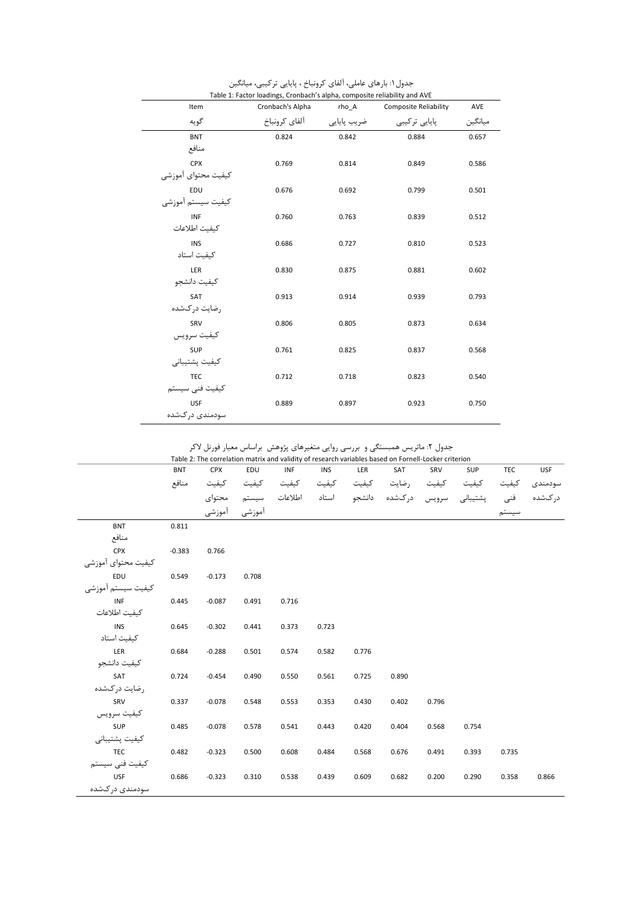| Item                | Cronbach's Alpha | rho A       | <b>Composite Reliability</b> | AVE     |
|---------------------|------------------|-------------|------------------------------|---------|
| گويه                | آلفای کرونباخ    | ضریب پایایی | پایایی ترکیبی                | ميانگين |
| <b>BNT</b>          | 0.824            | 0.842       | 0.884                        | 0.657   |
| منافع               |                  |             |                              |         |
| CPX                 | 0.769            | 0.814       | 0.849                        | 0.586   |
| كيفيت محتواي أموزشي |                  |             |                              |         |
| EDU                 | 0.676            | 0.692       | 0.799                        | 0.501   |
| كيفيت سيستم آموزشي  |                  |             |                              |         |
| <b>INF</b>          | 0.760            | 0.763       | 0.839                        | 0.512   |
| كيفيت اطلاعات       |                  |             |                              |         |
| <b>INS</b>          | 0.686            | 0.727       | 0.810                        | 0.523   |
| كيفيت استاد         |                  |             |                              |         |
| LER                 | 0.830            | 0.875       | 0.881                        | 0.602   |
| كيفيت دانشجو        |                  |             |                              |         |
| SAT                 | 0.913            | 0.914       | 0.939                        | 0.793   |
| رضايت دركشده        |                  |             |                              |         |
| SRV<br>كيفيت سرويس  | 0.806            | 0.805       | 0.873                        | 0.634   |
| <b>SUP</b>          |                  |             |                              |         |
| كيفيت پشتيباني      | 0.761            | 0.825       | 0.837                        | 0.568   |
| <b>TEC</b>          | 0.712            | 0.718       | 0.823                        | 0.540   |
| كيفيت فنى سيستم     |                  |             |                              |         |
| USF                 | 0.889            | 0.897       | 0.923                        | 0.750   |
| سودمندی در کشده     |                  |             |                              |         |
|                     |                  |             |                              |         |

جدول:1 بارهای عاملی، آلفای كرونباخ ، پایا یی تركيبی، ميانگين Table 1: Factor loadings, Cronbach's alpha, composite reliability and AVE

|                     | <b>BNT</b> | CPX      | EDU           | INF   | <b>INS</b> | LER   | SAT                                                                | SRV   | SUP   | TEC   | <b>USF</b> |
|---------------------|------------|----------|---------------|-------|------------|-------|--------------------------------------------------------------------|-------|-------|-------|------------|
|                     | منافع      |          |               |       |            |       | كيفيت كيفيت رضايت كيفيت كيفيت كيفيت كيفيت كيفيت                    |       |       | كيفيت | سودمندى    |
|                     |            |          |               |       |            |       | درکشده فنی پشتیبانی سرویس درکشده دانشجو استاد اطلاعات سیستم محتوای |       |       |       |            |
|                     |            |          | أموزشى أموزشى |       |            |       |                                                                    |       |       | سيستم |            |
| <b>BNT</b>          | 0.811      |          |               |       |            |       |                                                                    |       |       |       |            |
| منافع               |            |          |               |       |            |       |                                                                    |       |       |       |            |
| <b>CPX</b>          | $-0.383$   | 0.766    |               |       |            |       |                                                                    |       |       |       |            |
| كيفيت محتواي آموزشي |            |          |               |       |            |       |                                                                    |       |       |       |            |
| EDU                 | 0.549      | $-0.173$ | 0.708         |       |            |       |                                                                    |       |       |       |            |
| كيفيت سيستم أموزشي  |            |          |               |       |            |       |                                                                    |       |       |       |            |
| INF                 | 0.445      | $-0.087$ | 0.491         | 0.716 |            |       |                                                                    |       |       |       |            |
| كيفيت اطلاعات       |            |          |               |       |            |       |                                                                    |       |       |       |            |
| <b>INS</b>          | 0.645      | $-0.302$ | 0.441         | 0.373 | 0.723      |       |                                                                    |       |       |       |            |
| كيفيت استاد         |            |          |               |       |            |       |                                                                    |       |       |       |            |
| LER                 | 0.684      | $-0.288$ | 0.501         | 0.574 | 0.582      | 0.776 |                                                                    |       |       |       |            |
| كيفيت دانشجو        |            |          |               |       |            |       |                                                                    |       |       |       |            |
| SAT                 | 0.724      | $-0.454$ | 0.490         | 0.550 | 0.561      | 0.725 | 0.890                                                              |       |       |       |            |
| رضایت در کشده       |            |          |               |       |            |       |                                                                    |       |       |       |            |
| SRV                 | 0.337      | $-0.078$ | 0.548         | 0.553 | 0.353      | 0.430 | 0.402                                                              | 0.796 |       |       |            |
| كيفيت سرويس         |            |          |               |       |            |       |                                                                    |       |       |       |            |
| SUP                 | 0.485      | $-0.078$ | 0.578         | 0.541 | 0.443      | 0.420 | 0.404                                                              | 0.568 | 0.754 |       |            |
| كيفيت پشتيباني      |            |          |               |       |            |       |                                                                    |       |       |       |            |
| <b>TEC</b>          | 0.482      | $-0.323$ | 0.500         | 0.608 | 0.484      | 0.568 | 0.676                                                              | 0.491 | 0.393 | 0.735 |            |
| كيفيت فنى سيستم     |            |          |               |       |            |       |                                                                    |       |       |       |            |
| <b>USF</b>          | 0.686      | $-0.323$ | 0.310         | 0.538 | 0.439      | 0.609 | 0.682                                                              | 0.200 | 0.290 | 0.358 | 0.866      |
| سودمندى دركشده      |            |          |               |       |            |       |                                                                    |       |       |       |            |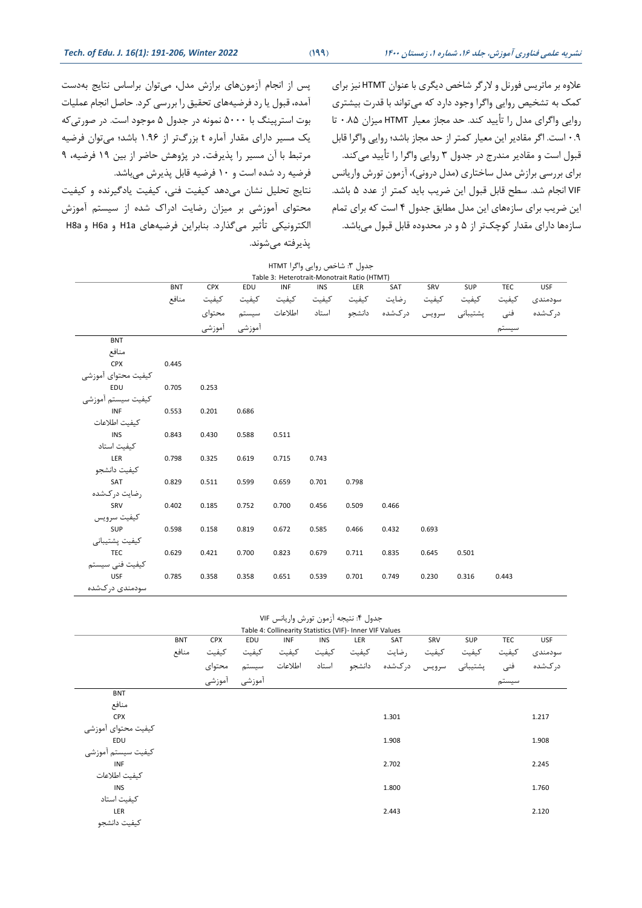پذیرفته میشوند.

پس از انجام آزمون های برازش مدل، می توان براساس نتایج بهدست آمده، قبول یا رد فرضيههای تحقيق را بررسی كرد. حاصل انجام عمليات بوت استرپينگ با 5000 نمونه در جدول 5 موجود است. در صورتیكه یک مسير دارای مقدار آماره t بزرگ تر از 1.96 باشد؛ می توان فرضيه مرتبط با آن مسير را پذیرفت. در پژوهش حاضر از بين 19 فرضيه، 9 فرضيه رد شده است و 10 فرضيه قابل پذیرش می باشد. نتایج تحليل نشان میدهد كيفيت فنی، كيفيت یادگيرنده و كيفيت محتوای آموزشی بر ميزان رضايت ادراک شده از سيستم آموزش الکترونيکي تأثير میگذارد. بنابراين فرضيههای H1a و H8a و H8a

عالوه بر ماتریس فورنل و الرگر شاخص دیگری با عنوان HTMT نيز برای كمک به تشخيص روایی واگرا وجود دارد كه میتواند با قدرت بيشتری روایی واگرای مدل را تأیید كند. حد مجاز معیار HTMT میزان ۰.۸۵ تا 0.9 است. اگر مقادیر این معيار كمتر از حد مجاز باشد؛ روایی واگرا قابل قبول است و مقادیر مندرج در جدول 3 روایی واگرا را تأیيد میكند. برای بررسی برازش مدل ساختاری (مدل درونی)، آزمون تورش واریانس VIF انجام شد. سطح قابل قبول این ضریب باید كمتر از عدد 5 باشد . این ضریب برای سازه های این مدل مطابق جدول 4 است كه برای تمام سازهها دارای مقدار كوچک تر از ۵ و در محدوده قابل قبول میباشد.

|                     |            |            |               | جدول ٣: شاخص روايي واگرا HTMT               |       |       |                                                                    |       |       |       |         |
|---------------------|------------|------------|---------------|---------------------------------------------|-------|-------|--------------------------------------------------------------------|-------|-------|-------|---------|
|                     |            |            |               | Table 3: Heterotrait-Monotrait Ratio (HTMT) |       |       |                                                                    |       |       |       |         |
|                     | <b>BNT</b> | <b>CPX</b> | EDU           | <b>INF</b>                                  | INS   | LER   | SAT                                                                | SRV   | SUP   | TEC   | USF     |
|                     | منافع      | كيفيت      | كيفيت         | كيفيت                                       |       |       | رضايت كيفيت كيفيت                                                  | كيفيت | كيفيت | كيفيت | سودمندى |
|                     |            |            |               |                                             |       |       | درکشده فنی پشتیبانی سرویس درکشده دانشجو استاد اطلاعات سیستم محتوای |       |       |       |         |
|                     |            |            | آموزشی آموزشی |                                             |       |       |                                                                    |       |       | سيستم |         |
| <b>BNT</b>          |            |            |               |                                             |       |       |                                                                    |       |       |       |         |
| منافع               |            |            |               |                                             |       |       |                                                                    |       |       |       |         |
| CPX                 | 0.445      |            |               |                                             |       |       |                                                                    |       |       |       |         |
| كيفيت محتواي أموزشي |            |            |               |                                             |       |       |                                                                    |       |       |       |         |
| EDU                 | 0.705      | 0.253      |               |                                             |       |       |                                                                    |       |       |       |         |
| كيفيت سيستم أموزشى  |            |            |               |                                             |       |       |                                                                    |       |       |       |         |
| <b>INF</b>          | 0.553      | 0.201      | 0.686         |                                             |       |       |                                                                    |       |       |       |         |
| كيفيت اطلاعات       |            |            |               |                                             |       |       |                                                                    |       |       |       |         |
| <b>INS</b>          | 0.843      | 0.430      | 0.588         | 0.511                                       |       |       |                                                                    |       |       |       |         |
| كيفيت استاد         |            |            |               |                                             |       |       |                                                                    |       |       |       |         |
| LER                 | 0.798      | 0.325      | 0.619         | 0.715                                       | 0.743 |       |                                                                    |       |       |       |         |
| كيفيت دانشجو        |            |            |               |                                             |       |       |                                                                    |       |       |       |         |
| SAT                 | 0.829      | 0.511      | 0.599         | 0.659                                       | 0.701 | 0.798 |                                                                    |       |       |       |         |
| رضايت دركشده        |            |            |               |                                             |       |       |                                                                    |       |       |       |         |
| SRV                 | 0.402      | 0.185      | 0.752         | 0.700                                       | 0.456 | 0.509 | 0.466                                                              |       |       |       |         |
| كيفيت سرويس         |            |            |               |                                             |       |       |                                                                    |       |       |       |         |
| SUP                 | 0.598      | 0.158      | 0.819         | 0.672                                       | 0.585 | 0.466 | 0.432                                                              | 0.693 |       |       |         |
| كيفيت پشتيباني      |            |            |               |                                             |       |       |                                                                    |       |       |       |         |
| <b>TEC</b>          | 0.629      | 0.421      | 0.700         | 0.823                                       | 0.679 | 0.711 | 0.835                                                              | 0.645 | 0.501 |       |         |
| كيفيت فنى سيستم     |            |            |               |                                             |       |       |                                                                    |       |       |       |         |
| <b>USF</b>          | 0.785      | 0.358      | 0.358         | 0.651                                       | 0.539 | 0.701 | 0.749                                                              | 0.230 | 0.316 | 0.443 |         |
| سودمندی در کشده     |            |            |               |                                             |       |       |                                                                    |       |       |       |         |

جدول ۴: نتيجه آزمون تورش واريانس VIF

|                     | Table 4: Collinearity Statistics (VIF)- Inner VIF Values |            |        |            |            |        |        |       |       |       |            |
|---------------------|----------------------------------------------------------|------------|--------|------------|------------|--------|--------|-------|-------|-------|------------|
|                     | <b>BNT</b>                                               | <b>CPX</b> | EDU    | <b>INF</b> | <b>INS</b> | LER    | SAT    | SRV   | SUP   | TEC   | <b>USF</b> |
|                     | منافع                                                    | كيفيت      | كيفيت  | كيفيت      | كيفيت      | كيفيت  | , ضایت | كيفيت | كيفيت | كيفيت | سودمندى    |
|                     |                                                          | محتواي     | سيستم  | اطلاعات    | استاد      | دانشجو | دركشده | سرويس | يشتي  | فنى   | د, کشده    |
|                     |                                                          | أموزشى     | أموزشى |            |            |        |        |       |       | سيستم |            |
| <b>BNT</b>          |                                                          |            |        |            |            |        |        |       |       |       |            |
| منافع               |                                                          |            |        |            |            |        |        |       |       |       |            |
| <b>CPX</b>          |                                                          |            |        |            |            |        | 1.301  |       |       |       | 1.217      |
| کیفیت محتوای آموزشی |                                                          |            |        |            |            |        |        |       |       |       |            |
| EDU                 |                                                          |            |        |            |            |        | 1.908  |       |       |       | 1.908      |
| کیفیت سیستم آموزشی  |                                                          |            |        |            |            |        |        |       |       |       |            |
| <b>INF</b>          |                                                          |            |        |            |            |        | 2.702  |       |       |       | 2.245      |
| كيفيت اطلاعات       |                                                          |            |        |            |            |        |        |       |       |       |            |
| <b>INS</b>          |                                                          |            |        |            |            |        | 1.800  |       |       |       | 1.760      |
| كيفيت استاد         |                                                          |            |        |            |            |        |        |       |       |       |            |
| LER                 |                                                          |            |        |            |            |        | 2.443  |       |       |       | 2.120      |
| كيفيت دانشجو        |                                                          |            |        |            |            |        |        |       |       |       |            |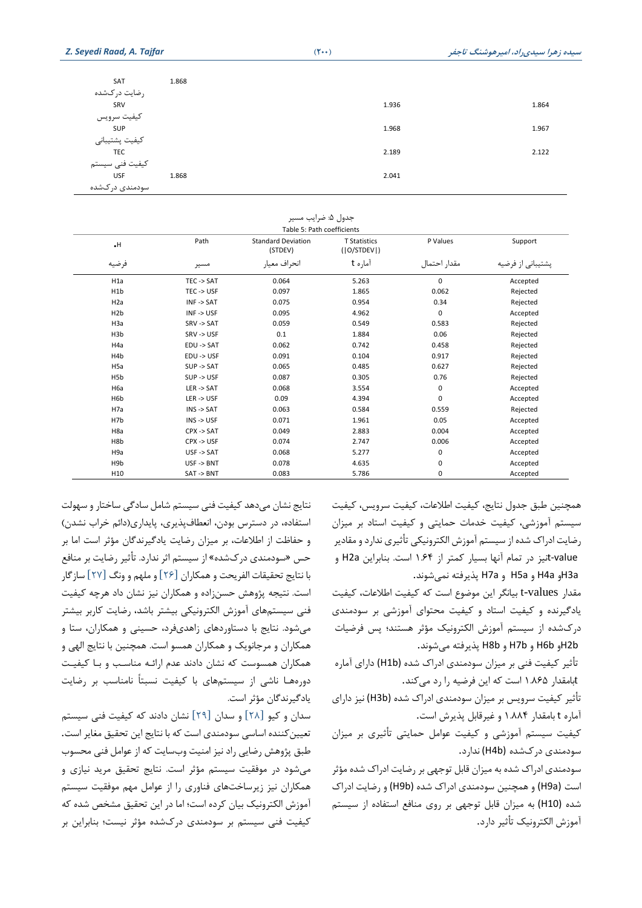| SAT             | 1.868 |       |       |
|-----------------|-------|-------|-------|
| رضايت دركشده    |       |       |       |
| SRV             |       | 1.936 | 1.864 |
| كيفيت سرويس     |       |       |       |
| SUP             |       | 1.968 | 1.967 |
| كيفيت پشتيباني  |       |       |       |
| TEC             |       | 2.189 | 2.122 |
| كيفيت فنى سيستم |       |       |       |
| <b>USF</b>      | 1.868 | 2.041 |       |
| سودمندی در کشده |       |       |       |

| جدول ۵: ضرایب مسیر<br>Table 5: Path coefficients |                       |                                      |                                    |              |                   |  |  |  |  |
|--------------------------------------------------|-----------------------|--------------------------------------|------------------------------------|--------------|-------------------|--|--|--|--|
| $\cdot$ H                                        | Path                  | <b>Standard Deviation</b><br>(STDEV) | <b>T Statistics</b><br>( O/STDEV ) | P Values     | Support           |  |  |  |  |
| فرضيه                                            | مسير                  | انحراف معيار                         | آماره t                            | مقدار احتمال | پشتیبانی از فرضیه |  |  |  |  |
| H1a                                              | TEC -> SAT            | 0.064                                | 5.263                              | 0            | Accepted          |  |  |  |  |
| H <sub>1</sub> b                                 | TEC -> USF            | 0.097                                | 1.865                              | 0.062        | Rejected          |  |  |  |  |
| H <sub>2</sub> a                                 | $INF \rightarrow SAT$ | 0.075                                | 0.954                              | 0.34         | Rejected          |  |  |  |  |
| H <sub>2</sub> b                                 | $INF \rightarrow USE$ | 0.095                                | 4.962                              | $\mathbf 0$  | Accepted          |  |  |  |  |
| H <sub>3</sub> a                                 | SRV -> SAT            | 0.059                                | 0.549                              | 0.583        | Rejected          |  |  |  |  |
| H <sub>3</sub> b                                 | SRV->USF              | 0.1                                  | 1.884                              | 0.06         | Rejected          |  |  |  |  |
| H <sub>4</sub> a                                 | EDU -> SAT            | 0.062                                | 0.742                              | 0.458        | Rejected          |  |  |  |  |
| H <sub>4</sub> b                                 | EDU -> USF            | 0.091                                | 0.104                              | 0.917        | Rejected          |  |  |  |  |
| H <sub>5a</sub>                                  | SUP -> SAT            | 0.065                                | 0.485                              | 0.627        | Rejected          |  |  |  |  |
| H <sub>5</sub> b                                 | SUP -> USF            | 0.087                                | 0.305                              | 0.76         | Rejected          |  |  |  |  |
| H <sub>6a</sub>                                  | $LER \rightarrow SAT$ | 0.068                                | 3.554                              | 0            | Accepted          |  |  |  |  |
| H <sub>6</sub> b                                 | $LER \rightarrow USE$ | 0.09                                 | 4.394                              | $\mathbf 0$  | Accepted          |  |  |  |  |
| H <sub>7a</sub>                                  | $INS - > SAT$         | 0.063                                | 0.584                              | 0.559        | Rejected          |  |  |  |  |
| H7b                                              | $INS - > USE$         | 0.071                                | 1.961                              | 0.05         | Accepted          |  |  |  |  |
| H <sub>8a</sub>                                  | $CPX \rightarrow SAT$ | 0.049                                | 2.883                              | 0.004        | Accepted          |  |  |  |  |
| H <sub>8</sub> b                                 | $CPX \rightarrow USF$ | 0.074                                | 2.747                              | 0.006        | Accepted          |  |  |  |  |
| H <sub>9a</sub>                                  | USF -> SAT            | 0.068                                | 5.277                              | 0            | Accepted          |  |  |  |  |
| H <sub>9</sub> b                                 | $USF \rightarrow BNT$ | 0.078                                | 4.635                              | $\mathbf 0$  | Accepted          |  |  |  |  |
| H10                                              | SAT->BNT              | 0.083                                | 5.786                              | $\mathbf 0$  | Accepted          |  |  |  |  |

همچنين طبق جدول نتایج، كيفيت اطالعات، كيفيت سرویس، كيفيت سيستم آموزشی ، كيفيت خدمات حمایتی و كيفيت استاد بر ميزان رضایت ادراک شده از سیستم آموزش الکترونیکی تأثیری ندارد و مقادیر value-tنيز در تمام آنها بسيار كمتر از 1.64 است. بنابراین a2H و .نمیشوند پذیرفته H7a و H5a و H4a وH3a

مقدار values-t بيانگر این موضوع است كه كيفيت اطالعات، كيفيت یادگيرنده و كيفيت استاد و كيفيت محتوای آموزشی بر سودمند ی درکشده از سيستم آموزش الکترونيک مؤثر هستند؛ پس فرضيات .میشوند پذیرفته H8b و H7b و H6b وH2b

تأثير كيفيت فنی بر ميزان سودمندی ادراک شده (H1b) دارای آماره tبامقدار ۱.۸۶۵ است كه این فرضیه را رد میكند.

تأثير كيفيت سرویس بر ميزان سودمندی ادراک شده (b3H (نيز دارای آماره t بامقدار 1.884 و غيرقابل پذیرش است.

كيفيت سيستم آموزشی و كيفيت عوامل حمايتی تأثيری بر ميزان سودمندی درک شده (b4H (ندارد.

سودمندی ادراک شده به ميزان قابل توجهی بر رضایت ادراک شده مؤثر است (a9H (و همچنين سودمند ی ادراک شده (b9H (و رضایت ادراک شده (10H (به ميزان قابل توجهی بر روی منافع استفاده از سيستم آموزش الکترونيک تأثير دارد.

نتایج نشان می دهد كيفيت فنی سيستم شامل سادگی ساختار و سهولت استفاده، در دسترس بودن، انعطاف پذیری، پایداری(دائم خراب نشدن) و حفاظت از اطلاعات، بر میزان رضایت یادگیرندگان مؤثر است اما بر حس »سودمند ی درکشده« از سيستم اثر ندارد. تأثير رضایت بر منافع با نتایج تحقيقات الفریحت و همکاران [26] و ملهم و ونگ [27] سازگار است. نتيجه پژوهش حسن زاده و همکاران نيز نشان داد هرچه كيفيت فنی سيستمهای آموزش الکترونيکی بيشتر باشد، رضايت كاربر بيشتر میشود. نتایج با دستاوردهای زاهدیفرد، حسینی و همکاران، ستا و همکاران و مرجانویک و همکاران همسو است. همچنين با نتایج الهی و همکاران همسوست كه نشان دادند عدم ارائـه مناسـب و بـا كيفيـت دورههـا ناشی از سيستمهای با كيفيت نسبتاً نامناسب بر رضایت یادگيرندگان مؤثر است.

سدان و كيو [28] و سدان [29] نشان دادند كه كيفيت فنی سيستم تعيين كننده اساسی سودمندي است كه با نتايج اين تحقيق مغاير است. طبق پژوهش رضایی راد نيز امنيت وبسایت كه از عوامل فنی محسوب میشود در موفقيت سيستم مؤثر است. نتایج تحقيق مرید نياز ی و همکاران نيز زیرساخت های فناوری را از عوامل مهم موفقيت سيستم آموزش الکترونيک بيان كرده است؛ اما در این تحقيق مشخص شده كه كيفيت فنی سيستم بر سودمندی درکشده مؤثر نيست؛ بنابراین بر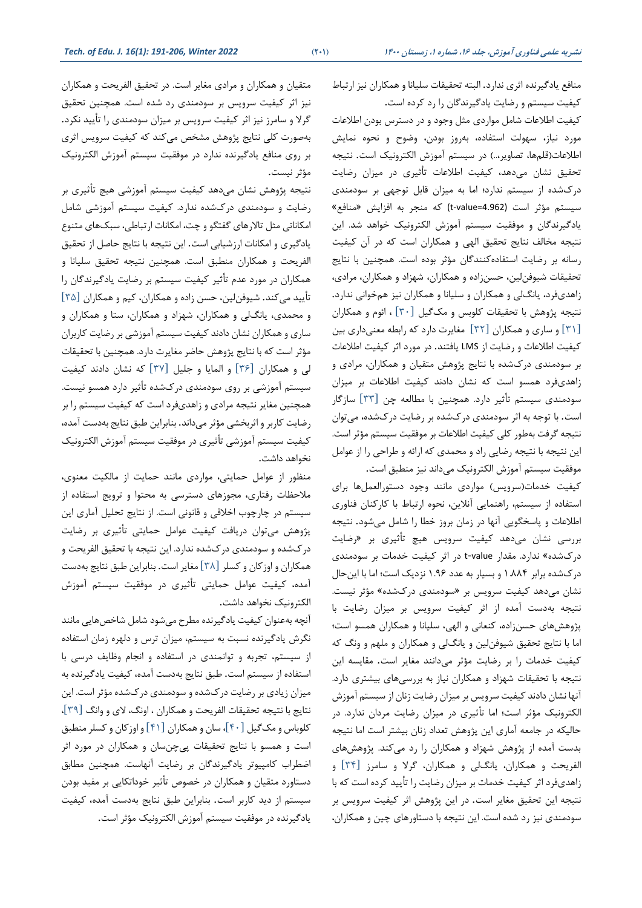منافع یادگيرنده اثری ندارد. البته تحقيقات سليانا و همکاران نيز ارتباط كيفيت سيستم و رضایت یادگيرندگان را رد كرده است.

كيفيت اطالعات شامل موارد ی مثل وجود و در دسترس بودن اطالعات مورد نياز، سهولت استفاده، بهروز بودن، وضوح و نحوه نمایش اطلاعات(قلمها، تصاویر...) در سيستم آموزش الکترونيک است. نتيجه تحقيق نشان میدهد، كيفيت اطالعات تأثيری در ميزان رضایت درکشده از سيستم ندارد ؛ اما به ميزان قابل توجهی بر سودمند ی سيستم مؤثر است (4.962=value-t (كه منجر به افزایش »منافع« یادگيرندگان و موفقيت سيستم آموزش الکترونيک خواهد شد. این نتيجه مخالف نتایج تحقيق الهی و همکاران است كه در آن كيفيت رسانه بر رضایت استفاده كنندگان مؤثر بوده است. همچنين با نتایج تحقيقات شيوفن لين، حسن زاده و همکاران، شهزاد و همکاران، مرادي، زاهدیفرد، یانگلی و همکاران و سليانا و همکاران نيز همخوانی ندارد. نتيجه پژوهش با تحقيقات كلوبس و مک گيل [30] ، ائوم و همکاران [31] و ساری و همکاران [32] مغایرت دارد كه رابطه معنیداری بين كيفيت اطالعات و رضایت از LMS یافتند. در مورد اثر كيفيت اطالعات بر سودمندی درک شده با نتایج پژوهش متقيان و همکاران، مرادی و زاهدی فرد همسو است كه نشان دادند كيفيت اطلاعات بر ميزان سودمندی سيستم تأثير دارد. همچنين با مطالعه چن [٣٣] سازگار است. با توجه به اثر سودمند ی درک شده بر رضایت درک شده، می توان نتيجه گرفت بهطور كلی كيفيت اطالعات بر موفقيت سيستم مؤثر است. این نتيجه با نتيجه رضایی راد و محمدی كه ارائه و طراحی را از عوامل موفقيت سيستم آموزش الكترونيک مي داند نيز منطبق است.

كيفيت خدمات(سرویس) مواردی مانند وجود دستورالعملها برای استفاده از سيستم، راهنمایی آنالین، نحوه ارتباط با كاركنان فناور ی اطالعات و پاسخگویی آنها در زمان بروز خطا را شامل می شود. نتيجه بررسی نشان میدهد كيفيت سرويس هيچ تأثيری بر «رضايت درکشده« ندارد. مقدار value-t در اثر كيفيت خدمات بر سودمند ی درکشده برابر 1.884 و بسيار به عدد 1.96 نزدیک است؛ اما با این حال نشان میدهد كيفيت سرويس بر «سودمندی دركشده» مؤثر نيست. نتيجه بهدست آمده از اثر كيفيت سرویس بر ميزان رضایت با پژوهش های حسن زاده، كنعانی و الهی، سليانا و همکاران همسو است؛ اما با نتایج تحقيق شيوفنلين و یانگلی و همکاران و ملهم و ونگ كه كيفيت خدمات را بر رضایت مؤثر میدانند مغایر است. مقایسه این نتيجه با تحقيقات شهزاد و همکاران نياز به بررسیهای بيشتری دارد. آنها نشان دادند كيفيت سرویس بر ميزان رضایت زنان از سيستم آموزش الکترونيک مؤثر است؛ اما تأثيری در ميزان رضایت مردان ندارد. در حاليكه در جامعه آماري اين پژوهش تعداد زنان بيشتر است اما نتيجه بدست آمده از پژوهش شهزاد و همکاران را رد میكند. پژوهش ها ی الفریحت و همکاران، یانگ لی و همکاران، گرال و سامرز [34] و زاهدیفرد اثر كيفيت خدمات بر ميزان رضايت را تأييد كرده است كه با نتيجه این تحقيق مغایر است. در ای ن پژوهش اثر كيفيت سرویس بر سودمندی نيز رد شده است. اين نتيجه با دستاورهای چين و همکاران،

متقيان و همکاران و مرادى مغاير است. در تحقيق الفريحت و همکاران نيز اثر كيفيت سرويس بر سودمندی رد شده است. همچنين تحقيق گرال و سامرز نيز اثر كيفيت سرویس بر ميزان سودمندی را تأیيد نکرد. بهصورت كلی نتایج پژوهش مشخص میكند كه كيفيت سرویس اثری بر روی منافع یادگيرنده ندارد در موفقيت سيستم آموزش الکترونيک مؤثر نيست.

نتيجه پژوهش نشان می دهد كيفيت سيستم آموزشی هيچ تأث يری بر رضایت و سودمندی درک شده ندارد. كيفيت سيستم آموزشی شامل امکاناتی مثل تالارهای گفتگو و چت، امکانات ارتباطی، سبکهای متنوع یادگيری و امکانات ارزشيابی است. این نتيجه با نتایج حاصل از تحقيق الفریحت و همکاران منطبق است. همچنین نتیجه تحقیق سلیانا و همکاران در مورد عدم تأثير كيفيت سيستم بر رضایت یادگيرندگان را تأیید می كند. شیوفن لین، حسن زاده و همکاران، كيم و همکاران [30] و محمدی، یانگ لی و همکاران، شهزاد و همکاران ، ستا و همکاران و ساری و همکاران نشان دادند كيفيت سيستم آموزشی بر رضایت كاربران مؤثر است كه با نتایج پژوهش حاضر مغایرت دارد. همچنين با تحقيقات لی و همکاران [36] و المایا و جليل [37] كه نشان دادند كيفيت سيستم آموزشی بر روی سودمندی درکشده تأثير دارد همسو نيست. همچنين مغایر نتيجه مرادی و زاهد ی فرد است كه كيفيت سيستم را بر رضایت كاربر و اثربخشی مؤثر می داند. بنابراین طبق نتایج به دست آمده، كيفيت سيستم آموزشی تأثيری در موفقيت سيستم آموزش الکترونيک نخواهد داشت .

منظور از عوامل حمایتی، موارد ی مانند حمایت از مالکيت معنوی، ملاحظات رفتاری، مجوزهای دسترسی به محتوا و ترویج استفاده از سيستم در چارچوب اخالقی و قانونی است. از نتایج تحليل آماری این پژوهش میتوان دریافت كيفيت عوامل حمايتی تأثيری بر رضايت درکشده و سودمند ی درک شده ندارد. این نتيجه با تحقيق الفریحت و همکاران و اوزكان و كسلر [38] مغایر است. بنابراین طبق نتایج بهدست آمده، كيفيت عوامل حمايتي تأثيري در موفقيت سيستم آموزش الکترونيک نخواهد داشت.

آنچه بهعنوان كيفيت یادگيرنده مطرح میشود شامل شاخصهایی مانند نگرش یادگيرنده نسبت به سيستم، ميزان ترس و دلهره زمان استفاده از سیستم، تجربه و توانمندی در استفاده و انجام وظایف درسی با استفاده از سيستم است. طبق نتایج بهدست آمده، كيفيت یادگيرنده به میزان زیادی بر رضایت در کشده و سودمندی درکشده مؤثر است. این نتایج با نتيجه تحقيقات الفریحت و همکاران ، اونگ، الی و وانگ [39]، كلوباس و مک گيل [40]، سان و همکاران [41] و اوزكان و كسلر منطبق است و همسو با نتایج تحقيقات پیچن سان و همکاران در مورد اثر اضطراب كامپي وتر یادگيرندگان بر رضایت آنهاست. همچنين مطابق دستاورد متقيان و همکاران در خصوص تأثير خوداتکايي بر مفيد بودن سيستم از دید كاربر است. بنابراین طبق نتایج بهدست آمده، كيفيت یادگيرنده در موفقيت سيستم آموزش الکترونيک مؤثر است.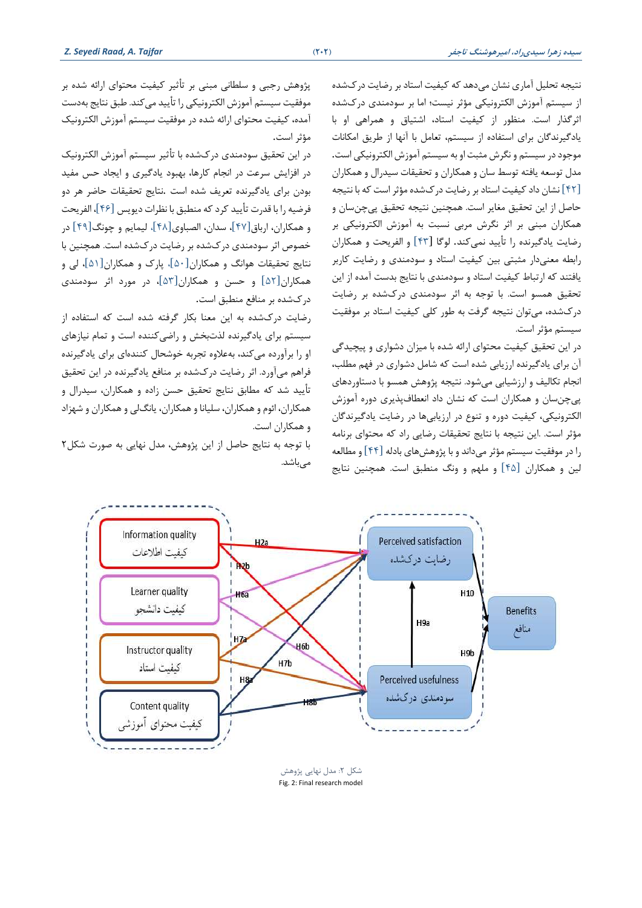نتيجه تحليل آماری نشان میدهد كه كيفيت استاد بر رضایت درکشده از سيستم آموزش الکترونيکی مؤثر نيست؛ اما بر سودمندی درکشده اثرگذار است. منظور از كيفيت استاد، اشتياق و همراهی او با یادگیرندگان برای استفاده از سیستم، تعامل با آنها از طریق امکانات موجود در سيستم و نگرش مثبت او به سيستم آموزش الکترونيکی است . مدل توسعه یافته توسط سان و همکاران و تحقيقات سيدرال و همکاران [42] نشان داد كيفيت استاد بر رضای ت درکشده مؤثر است كه با نتيجه حاصل از این تحقيق مغایر است. همچنين نتيجه تحقيق پیچنسان و همکاران مبنی بر اثر نگرش مربی نسبت به آموزش الکترونيکی بر رضایت یادگيرنده را تأیيد نمیكند. لوگا [43] و الفریحت و همکاران رابطه معنی دار مثبتی بين كيفيت استاد و سودمندی و رضایت كاربر یافتند كه ارتباط كيفيت استاد و سودمندی با نتایج بدست آمده از این تحقيق همسو است. با توجه به اثر سودمندی درکشده بر رضايت درکشده، می توان نتيجه گرفت به طور كلی ك يفيت استاد بر موفقيت سيستم مؤثر است.

در این تحقیق كیفیت محتوای ارائه شده با میزان دشواری و پیچیدگی آن برای یادگيرنده ارزیابی شده است كه شامل دشوار ی در فهم مطلب، انجام تکاليف و ارزشيابی میشود. نتيجه پژوهش همسو با دستاوردها ی پیچن سان و همکاران است كه نشان داد انعطاف پذی ری دوره آموزش الکترونيکی، کيفيت دوره و تنوع در ارزيابیها در رضايت يادگيرندگان مؤثر است. .این نتيجه با نتایج تحقيقات رضایی راد كه محتوای برنامه را در موفقيت سيستم مؤثر می داند و با پژوهش های بادله [44] و مطالعه لين و همکاران [45] و ملهم و ونگ منطبق است. همچنين نتایج

پژوهش رجبی و سلطانی مبنی بر تأثير كيفيت محتوای ارائه شده بر موفقيت سيستم آموزش الکترونيکی را تأیيد میكند. طبق نتایج بهدست آمده، كيفيت محتوای ارائه شده در موفقيت سيستم آموزش الکترونيک مؤثر است.

در این تحقیق سودمندی درکشده با تأثير سيستم آموزش الكترونيک در افزایش سرعت در انجام كارها، بهبود یادگيری و ایجاد حس مفي د بودن برای یادگیرنده تعریف شده است .نتایج تحقیقات حاضر هر دو فرضيه را با قدرت تأیيد كرد كه منطبق با نظرات دیویس [46]، الفریحت و همکاران، ارباق [47]، سدان، الصباو ی[48]، ليمایم و چونگ [49] در خصوص اثر سودمندی درک شده بر رضایت درکشده است. همچنين با نتایج تحقيقات هوانگ و همکاران[50]، پارک و همکاران [51]، لی و همکاران[52] و حسن و همکاران [53]، در مورد اثر سودمند ی درکشده بر منافع منطبق است.

رضایت درک شده به این معنا بکار گرفته شده است كه استفاده از سیستم برای یادگیرنده لذت بخش و راضی كننده است و تمام نیازهای او را برآورده می كند، بهعلاوه تجربه خوشحال كنندهای برای یادگیرنده فراهم میآورد. اثر رضایت درک شده بر منافع یادگيرنده در این تحقيق تأیيد شد كه مطابق نتایج تحقيق حسن زاده و همکاران، سيدرال و همکاران، ائوم و همکاران، سليانا و همکاران، یانگ لی و همکاران و شهزاد و همکاران است.

با توجه به نتایج حاصل از این پژوهش، مدل نهایی به صورت شکل2 مے باشد.

> شکل ۲: مدل نهایی پژوهش Fig. 2: Final research model

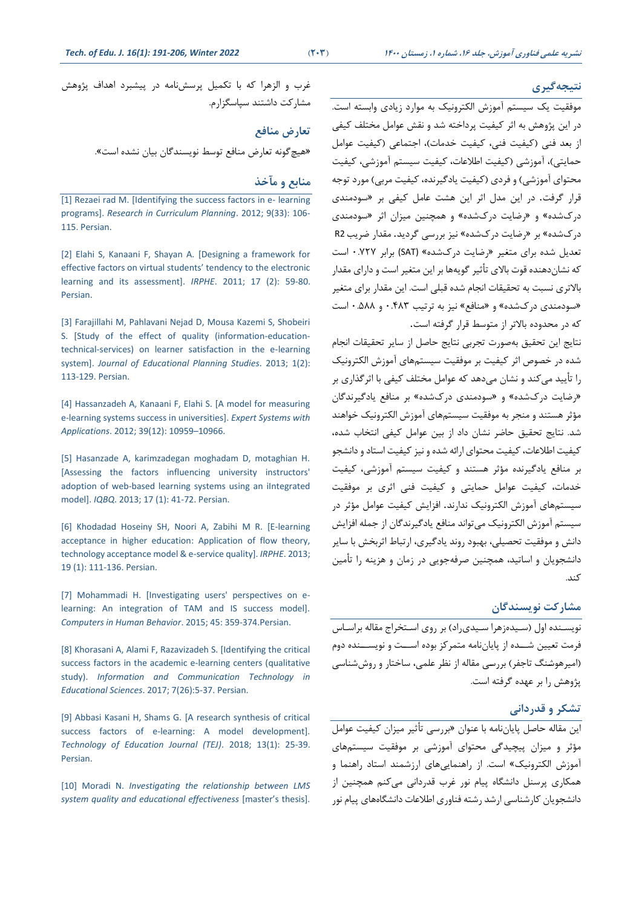#### **نتیجهگیری**

موفقيت یک سيستم آموزش الکترونيک به موارد زیادی وابسته است. در این پژوهش به اثر كيفيت پرداخته شد و نقش عوامل مختلف كيفی از بعد فنی (كيفيت فنی، كيفيت خدمات)، اجتماعی (كيفيت عوامل حمایتی)، آموزشی (كيفيت اطلاعات، كيفيت سيستم آموزشی، كيفيت محتوای آموزشی) و فردی (كيفيت یادگيرنده، كيفيت مربی) مورد توجه قرار گرفت. در این مدل اثر این هشت عامل كيفی بر »سودمند ی درکشده« و »رضایت درک شده« و همچنين ميزان اثر »سودمندی درکشده« بر »رضایت درک شده« ني ز بررسی گردید. مقدار ضریب 2R تعدیل شده برای متغیر «رضایت درکشده» (SAT) برابر ۰.۷۲۷ است كه نشاندهنده قوت باالی تأثير گویهها بر این متغير است و دارای مقدار بالاتری نسبت به تحقیقات انجام شده قبلی است. این مقدار برای متغیر «سودمندی درکشده» و «منافع» نيز به ترتيب ۴۸۳.۰ و ۵۸۸ـ است كه در محدوده باالتر از متوسط قرار گرفته است.

نتایج این تحقيق بهصورت تجربی نتایج حاصل از سایر تحقيقات انجام شده در خصوص اثر كيفيت بر موفقيت سيستمهای آموزش الکتروني ک را تأیيد میكند و نشان میدهد كه عوامل مختلف كيفی با اثرگذاری بر »رضایت درکشده« و »سودمندی درکشده« بر منافع یادگيرندگان مؤثر هستند و منجر به موفقيت سيستمهاى آموزش الكترونيك خواهند شد. نتایج تحقيق حاضر نشان داد از بين عوامل كيفی انتخاب شده، كيفيت اطالعات، كيفيت محتوای ارائه شده و نيز كيفيت استاد و دانشجو بر منافع یادگيرنده مؤثر هستند و كيفيت سيستم آموزشی، كيفيت خدمات، كيفيت عوامل حمایتی و كيفيت فنی اثری بر موفقيت سيستمهای آموزش الکترونيک ندارند. افزایش كيفيت عوامل مؤثر در سيستم آموزش الکترونيک میتواند منافع یادگيرندگان از جمله افزایش دانش و موفقيت تحصيلی، بهبود روند یادگيری، ارتباط اثربخش با سایر دانشجویان و اساتيد، همچنين صرفهجویی در زمان و هزینه را تأمين كند.

### **مشارکت نویسندگان**

نویسـنده اول (سـيدهزهرا سـيدی,اد) بر روی اسـتخراج مقاله براسـاس فرمت تعيين شـــده از پایاننامه متمركز بوده اســـت و نویســـنده دوم )اميرهوشـنگ تاجفر( بررسـی مقاله از نظر علمی، ساختار و روششناسی پژوهش را بر عهده گرفته است.

### **تشکر و قدردانی**

این مقاله حاصل پایان نامه با عنوان »بررسی تأثير ميزان كيفيت عوامل مؤثر و ميزان پيچيدگی محتوای آموزشی بر موفقيت سيستمهای آموزش الکترونيک« است. از راهنماییهای ارزشمند استاد راهنما و همکاری پرسنل دانشگاه پيام نور غرب قدردانی میكنم همچنين از دانشجویان كارشناسی ارشد رشته فناوری اطلاعات دانشگاههای پيام نور

غرب و الزهرا كه با تکميل پرسش نامه در پيشبرد اهداف پژوهش مشاركت داشتند سپاسگزارم.

#### **تعارض منافع**

»هيچگونه تعارض منافع توسط نویسندگان بيان نشده است«.

### **منابع و مآخذ**

[\[1\] Rezaei rad M. \[Identifying the success factors in e-](https://www.sid.ir/fa/journal/ViewPaper.aspx?id=168292‎) learning programs]. *[Research in Curriculum Planning](https://www.sid.ir/fa/journal/ViewPaper.aspx?id=168292‎)*. 2012; 9(33): 106- [115. Persian.](https://www.sid.ir/fa/journal/ViewPaper.aspx?id=168292‎)

[\[2\] Elahi S, Kanaani F, Shayan A. \[Designing a framework for](https://www.sid.ir/fa/journal/ViewPaper.aspx?id=147383‎)  effective factors on [virtual students' tendency](https://www.sid.ir/fa/journal/ViewPaper.aspx?id=147383‎) to the electronic [learning and its assessment\].](https://www.sid.ir/fa/journal/ViewPaper.aspx?id=147383‎) *IRPHE*. 2011; 17 (2): 59-80. [Persian.](https://www.sid.ir/fa/journal/ViewPaper.aspx?id=147383‎)

[\[3\] Farajillahi M, Pahlavani Nejad D, Mousa Kazemi S, Shobeiri](http://www.magiran.com/paper/1338037‎)  [S. \[Study of the effect of quality \(information-education](http://www.magiran.com/paper/1338037‎)[technical-services\) on learner satisfaction in the e-learning](http://www.magiran.com/paper/1338037‎)  system]. *[Journal of Educational Planning Studies](http://www.magiran.com/paper/1338037‎)*. 2013; 1(2): [113-129. Persian.](http://www.magiran.com/paper/1338037‎)

[\[4\] Hassanzadeh A, Kanaani F, Elahi S. \[A model for measuring](https://doi.org/10.1016/j.eswa.2012.03.028‎)  [e-learning systems success in universities\].](https://doi.org/10.1016/j.eswa.2012.03.028‎) *Expert Systems with Applications*. [2012; 39\(12\): 10959](https://doi.org/10.1016/j.eswa.2012.03.028‎)–10966.

[\[5\] Hasanzade A, karimzadegan moghadam D, motaghian H.](https://www.sid.ir/fa/journal/ViewPaper.aspx?id=195444‎)  [\[Assessing the factors influencing university instructors'](https://www.sid.ir/fa/journal/ViewPaper.aspx?id=195444‎) [adoption of web-based learning systems using an iIntegrated](https://www.sid.ir/fa/journal/ViewPaper.aspx?id=195444‎)  model]. *IQBQ*[. 2013; 17 \(1\): 41-72. Persian.](https://www.sid.ir/fa/journal/ViewPaper.aspx?id=195444‎)

[\[6\] Khodadad Hoseiny SH, Noori A, Zabihi](https://www.sid.ir/fa/journal/ViewPaper.aspx?id=203444‎) M R. [E-learning [acceptance in higher education: Application of flow theory,](https://www.sid.ir/fa/journal/ViewPaper.aspx?id=203444‎)  [technology acceptance model & e-service quality\].](https://www.sid.ir/fa/journal/ViewPaper.aspx?id=203444‎) *IRPHE*. 2013; [19 \(1\): 111-136. Persian.](https://www.sid.ir/fa/journal/ViewPaper.aspx?id=203444‎)

[\[7\] Mohammadi H. \[Investigating users' perspectives on e](https://doi.org/10.1016/j.chb.2014.07.044‎)[learning: An integration of TAM and IS success model\].](https://doi.org/10.1016/j.chb.2014.07.044‎)  *[Computers in Human Behavior](https://doi.org/10.1016/j.chb.2014.07.044‎)*. 2015; 45: 359-374.Persian.

[\[8\] Khorasani A, Alami F, Razavizadeh S. \[Identifying the critical](https://www.sid.ir/fa/journal/ViewPaper.aspx?id=309215‎)  [success factors in the academic e-learning centers \(qualitative](https://www.sid.ir/fa/journal/ViewPaper.aspx?id=309215‎)  study). *[Information and Communication Technology in](https://www.sid.ir/fa/journal/ViewPaper.aspx?id=309215‎)  Educational Sciences*[. 2017; 7\(26\):5-37. Persian.](https://www.sid.ir/fa/journal/ViewPaper.aspx?id=309215‎)

[\[9\] Abbasi Kasani H, Shams G. \[A research synthesis of critical](https://doi.org/10.22061/jte.2018.3061.1777‎)  [success factors of e-learning: A model development\].](https://doi.org/10.22061/jte.2018.3061.1777‎)  *[Technology of Education Journal \(TEJ\)](https://doi.org/10.22061/jte.2018.3061.1777‎)*. 2018; 13(1): 25-39. [Persian.](https://doi.org/10.22061/jte.2018.3061.1777‎)

[10] Moradi N. *[Investigating the relationship between LMS](https://ganj.irandoc.ac.ir/#/articles/264f0046ea388f717a0573fa9cab59da)  [system quality and educational effectiveness](https://ganj.irandoc.ac.ir/#/articles/264f0046ea388f717a0573fa9cab59da)* [master's thesis].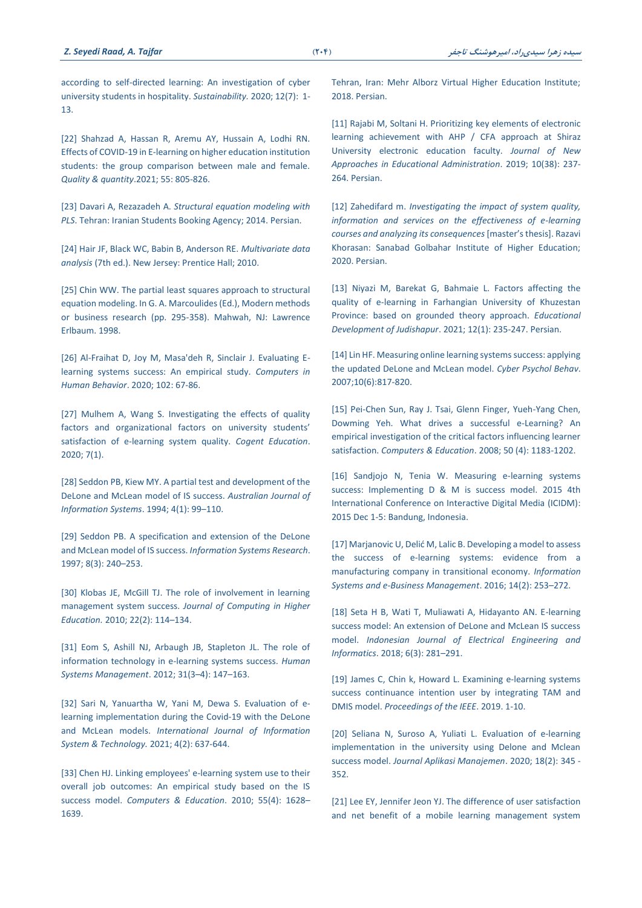[according to self-directed learning: An investigation of cyber](https://doi.org/10.3390/su12072672‎)  [university students in hospitality.](https://doi.org/10.3390/su12072672‎) *Sustainability.* 2020; 12(7): 1- [13.](https://doi.org/10.3390/su12072672‎)

[\[22\] Shahzad A, Hassan R, Aremu AY, Hussain](https://doi.org/10.1007/s11135-020-01028-z%20‎) A, Lodhi RN. [Effects of COVID-19 in E-learning on higher education institution](https://doi.org/10.1007/s11135-020-01028-z%20‎)  [students: the group comparison between male and female.](https://doi.org/10.1007/s11135-020-01028-z%20‎)  *[Quality & quantity](https://doi.org/10.1007/s11135-020-01028-z%20‎)*.2021; 55: 805-826.

[23] Davari A, Rezazadeh A. *[Structural equation modeling with](https://www.gisoom.com/book/11097132/‎)  PLS*[. Tehran: Iranian Students Booking Agency; 2014. Persian.](https://www.gisoom.com/book/11097132/‎)

[24] Hair JF, Black WC, Babin B, Anderson RE. *Multivariate data analysis* (7th ed.). New Jersey: Prentice Hall; 2010.

[25] Chin WW. The partial least squares approach to structural equation modeling. In G. A. Marcoulides (Ed.), Modern methods or business research (pp. 295-358). Mahwah, NJ: Lawrence Erlbaum. 1998.

[\[26\] Al-Fraihat D, Joy M, Masa'deh R, Sinclair J. Evaluating E](https://doi.org/10.1016/j.chb.2019.08.004‎)[learning systems success: An empirical study.](https://doi.org/10.1016/j.chb.2019.08.004‎) *Computers in [Human Behavior](https://doi.org/10.1016/j.chb.2019.08.004‎)*. 2020; 102: 67-86.

[27] Mulhem A, Wang [S. Investigating the effects of quality](https://doi.org/10.1080/2331186X.2020.1787004‎)  [factors and organizational factors on university students'](https://doi.org/10.1080/2331186X.2020.1787004‎)  [satisfaction of e-learning system quality.](https://doi.org/10.1080/2331186X.2020.1787004‎) *Cogent Education*. [2020; 7\(1\).](https://doi.org/10.1080/2331186X.2020.1787004‎)

[\[28\] Seddon PB, Kiew MY. A partial test and development of the](https://doi.org/10.3127/ajis.v4i1.379%20‎)  [DeLone and McLean model of IS success.](https://doi.org/10.3127/ajis.v4i1.379%20‎) *Australian Journal of [Information Systems](https://doi.org/10.3127/ajis.v4i1.379%20‎)*. 1994; 4(1): 99–110.

[29] Seddon PB. [A specification and extension of the DeLone](https://doi.org/10.1287/isre.8.3.240‎)  [and McLean model of IS success.](https://doi.org/10.1287/isre.8.3.240‎) *Information Systems Research*. [1997; 8\(3\): 240](https://doi.org/10.1287/isre.8.3.240‎)–253.

[\[30\] Klobas JE, McGill TJ. The role of involvement in learning](https://doi.org/10.1007/s12528-010-9032-5‎)  management system success. *[Journal of Computing in Higher](https://doi.org/10.1007/s12528-010-9032-5‎)  Education.* [2010; 22\(2\): 114](https://doi.org/10.1007/s12528-010-9032-5‎)–134.

[31] Eom S, Ashill NJ, Arbaugh JB, Stapleton JL. The role of [information technology in e-learning systems success.](https://doi.org/10.3233/HSM-2012-0767‎) *Human [Systems Management](https://doi.org/10.3233/HSM-2012-0767‎)*. 2012; 31(3–4): 147–163.

[\[32\] Sari N, Yanuartha W, Yani M, Dewa S. Evaluation of e](https://doi.org/10.30645/ijistech.v4i2.104‎)[learning implementation during the Covid-19 with the DeLone](https://doi.org/10.30645/ijistech.v4i2.104‎)  and McLean models. *[International Journal of Information](https://doi.org/10.30645/ijistech.v4i2.104‎)  [System & Technology.](https://doi.org/10.30645/ijistech.v4i2.104‎)* 2021; 4(2): 637-644.

[\[33\] Chen HJ. Linking employees' e-learning system use to their](https://doi.org/10.1108/OIR-04-2014-0097‎)  [overall job outcomes: An empirical study based on the IS](https://doi.org/10.1108/OIR-04-2014-0097‎)  success model. *Computers & Education*[. 2010; 55\(4\): 1628](https://doi.org/10.1108/OIR-04-2014-0097‎)– [1639.](https://doi.org/10.1108/OIR-04-2014-0097‎)

[Tehran, Iran: Mehr Alborz Virtual Higher Education Institute;](https://ganj.irandoc.ac.ir/#/articles/264f0046ea388f717a0573fa9cab59da)  [2018. Persian.](https://ganj.irandoc.ac.ir/#/articles/264f0046ea388f717a0573fa9cab59da)

[\[11\] Rajabi M, Soltani H. Prioritizing key elements of electronic](https://www.sid.ir/fa/journal/ViewPaper.aspx?id=498564‎)  [learning achievement with AHP / CFA approach at Shiraz](https://www.sid.ir/fa/journal/ViewPaper.aspx?id=498564‎)  [University electronic education faculty.](https://www.sid.ir/fa/journal/ViewPaper.aspx?id=498564‎) *Journal of New [Approaches in Educational Administration](https://www.sid.ir/fa/journal/ViewPaper.aspx?id=498564‎)*. 2019; 10(38): 237- [264. Persian.](https://www.sid.ir/fa/journal/ViewPaper.aspx?id=498564‎)

[12] Zahedifard m. *[Investigating the impact of system quality,](https://ganj.irandoc.ac.ir/#/articles/ce926d551c350d29a471ed726ed78b9b)  [information and services on the effectiveness of e-learning](https://ganj.irandoc.ac.ir/#/articles/ce926d551c350d29a471ed726ed78b9b)  [courses and analyzing its consequences](https://ganj.irandoc.ac.ir/#/articles/ce926d551c350d29a471ed726ed78b9b)* [master's thesis]. Razavi [Khorasan: Sanabad Golbahar Institute of Higher Education;](https://ganj.irandoc.ac.ir/#/articles/ce926d551c350d29a471ed726ed78b9b)  [2020. Persian.](https://ganj.irandoc.ac.ir/#/articles/ce926d551c350d29a471ed726ed78b9b)

[\[13\] Niyazi M, Barekat G, Bahmaie L. Factors affecting the](https://www.magiran.com/paper/2299959‎)  [quality of e-learning in Farhangian University of Khuzestan](https://www.magiran.com/paper/2299959‎)  [Province: based on grounded theory approach.](https://www.magiran.com/paper/2299959‎) *Educational Development of Judishapur*[. 2021; 12\(1\): 235-247. Persian.](https://www.magiran.com/paper/2299959‎)

[\[14\] Lin HF. Measuring online learning systems success: applying](https://doi.org/10.1089/cpb.2007.9948%20‎)  [the updated DeLone and McLean model.](https://doi.org/10.1089/cpb.2007.9948%20‎) *Cyber Psychol Behav*. [2007;10\(6\):817-820.](https://doi.org/10.1089/cpb.2007.9948%20‎)

[\[15\] Pei-Chen Sun, Ray J. Tsai, Glenn Finger, Yueh-Yang Chen,](https://doi.org/10.1016/j.compedu.2006.11.007‎)  [Dowming Yeh. What drives a successful e-Learning? An](https://doi.org/10.1016/j.compedu.2006.11.007‎)  [empirical investigation of the critical factors influencing learner](https://doi.org/10.1016/j.compedu.2006.11.007‎)  satisfaction. *[Computers & Education](https://doi.org/10.1016/j.compedu.2006.11.007‎)*. 2008; 50 (4): 1183-1202.

[16] Sandjojo [N, Tenia W. Measuring e-learning systems](https://doi.org/10.1109/IDM.2015.7516343‎)  [success: Implementing D & M is success model. 2015 4th](https://doi.org/10.1109/IDM.2015.7516343‎)  [International Conference on Interactive Digital Media \(ICIDM\):](https://doi.org/10.1109/IDM.2015.7516343‎) 2015 [Dec 1-5: Bandung, Indonesia.](https://doi.org/10.1109/IDM.2015.7516343‎)

[1[7\] Marjanovic U, Delić M, Lalic B. Developing a model to assess](https://doi.org/10.1007/s10257-015-0282-7‎)  [the success of e-learning systems: evidence from a](https://doi.org/10.1007/s10257-015-0282-7‎)  [manufacturing company in transitional economy.](https://doi.org/10.1007/s10257-015-0282-7‎) *Information [Systems and e-Business Management](https://doi.org/10.1007/s10257-015-0282-7‎)*. 2016; 14(2): 253–272.

[\[18\] Seta H B, Wati T, Muliawati A, Hidayanto AN. E-learning](https://doi.org/10.11591/ijeei.v6i3.505‎)  [success model: An extension of DeLone and McLean IS success](https://doi.org/10.11591/ijeei.v6i3.505‎)  model. *[Indonesian Journal of Electrical Engineering and](https://doi.org/10.11591/ijeei.v6i3.505‎)  [Informatics](https://doi.org/10.11591/ijeei.v6i3.505‎)*. 2018; 6(3): 281–291.

[19] James C, Chin k, Howard [L. Examining e-learning systems](https://doi.org/10.23919/PICMET.2019.8893516‎)  [success continuance intention user by integrating TAM and](https://doi.org/10.23919/PICMET.2019.8893516‎)  DMIS model. *[Proceedings of the IEEE](https://doi.org/10.23919/PICMET.2019.8893516‎)*. 2019. 1-10.

[\[20\] Seliana N, Suroso A, Yuliati L. Evaluation of e-learning](https://doi.org/10.21776/ub.jam.2020.018.02.15‎)  [implementation in the university using Delone and Mclean](https://doi.org/10.21776/ub.jam.2020.018.02.15‎)  success model. *[Journal Aplikasi Manajemen](https://doi.org/10.21776/ub.jam.2020.018.02.15‎)*. 2020; 18(2): 345 - [352.](https://doi.org/10.21776/ub.jam.2020.018.02.15‎)

[21] Lee EY, Jennifer Jeon [YJ. The difference of user satisfaction](https://doi.org/10.3390/su12072672‎)  [and net benefit of a mobile learning management system](https://doi.org/10.3390/su12072672‎)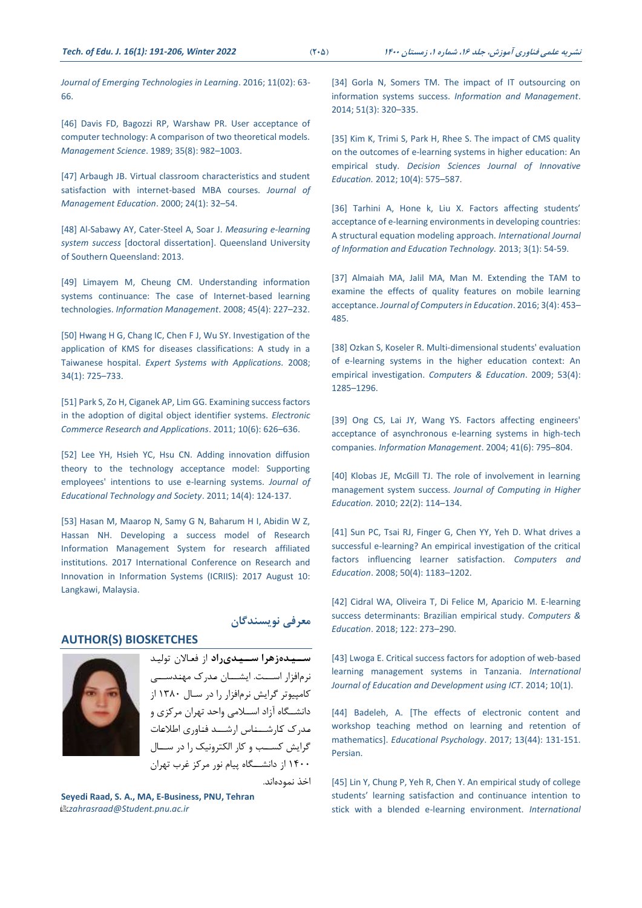*[Journal of Emerging Technologies in](https://doi.org/10.3991/ijet.v11i02.5078%20‎) Learning*. 2016; 11(02): 63- [66.](https://doi.org/10.3991/ijet.v11i02.5078%20‎)

[\[46\] Davis FD, Bagozzi RP, Warshaw](https://doi.org/10.1287/mnsc.35.8.982‎) PR. User acceptance of [computer technology: A comparison of two theoretical models.](https://doi.org/10.1287/mnsc.35.8.982‎)  *[Management Science](https://doi.org/10.1287/mnsc.35.8.982‎)*. 1989; 35(8): 982–1003.

[47] Arbaugh JB. Virtual classroom characteristics and student [satisfaction with internet-based MBA courses.](https://doi.org/10.1177/105256290002400104‎) *Journal of [Management Education](https://doi.org/10.1177/105256290002400104‎)*. 2000; 24(1): 32–54.

[\[48\] Al-Sabawy AY, Cater-Steel A, Soar J.](https://doi.org/10.4018/978-1-4666-0170-3.ch015‎) *Measuring e-learning system success* [\[doctoral dissertation\]. Queensland](https://doi.org/10.4018/978-1-4666-0170-3.ch015‎) University [of Southern Queensland](https://doi.org/10.4018/978-1-4666-0170-3.ch015‎): 2013.

[\[49\] Limayem M, Cheung CM. Understanding information](https://doi.org/10.1016/j.im.2008.02.005‎)  [systems continuance: The case of Internet-based learning](https://doi.org/10.1016/j.im.2008.02.005‎)  technologies. *[Information Management](https://doi.org/10.1016/j.im.2008.02.005‎)*. 2008; 45(4): 227–232.

[\[50\] Hwang H G, Chang IC, Chen F J, Wu SY. Investigation of the](https://doi.org/10.1016/j.eswa.2006.10.018‎)  [application of KMS for diseases classifications: A study in a](https://doi.org/10.1016/j.eswa.2006.10.018‎)  Taiwanese hospital. *[Expert Systems with Applications.](https://doi.org/10.1016/j.eswa.2006.10.018‎)* 2008; [34\(1\):](https://doi.org/10.1016/j.eswa.2006.10.018‎) 725–733.

[\[51\] Park S, Zo H, Ciganek AP, Lim GG. Examining success factors](https://doi.org/10.1016/j.elerap.2011.05.004‎)  [in the adoption of digital object identifier systems.](https://doi.org/10.1016/j.elerap.2011.05.004‎) *Electronic [Commerce Research and Applications](https://doi.org/10.1016/j.elerap.2011.05.004‎)*. 2011; 10(6): 626–636.

[\[52\] Lee YH, Hsieh YC, Hsu CN. Adding innovation diffusion](http://www.jstor.org/stable/jeductechsoci.14.4.124‎)  [theory to the technology acceptance model: Supporting](http://www.jstor.org/stable/jeductechsoci.14.4.124‎)  [employees' intentions to use e-learning systems.](http://www.jstor.org/stable/jeductechsoci.14.4.124‎) *Journal of [Educational Technology and Society](http://www.jstor.org/stable/jeductechsoci.14.4.124‎)*. 2011; 14(4): 124-137.

[\[53\] Hasan M, Maarop N, Samy G N, Baharum H I, Abidin W Z,](https://doi.org/10.1109/ICRIIS.2017.8002444‎)  [Hassan NH. Developing a success model of Research](https://doi.org/10.1109/ICRIIS.2017.8002444‎)  [Information Management System for research affiliated](https://doi.org/10.1109/ICRIIS.2017.8002444‎)  [institutions. 2017 International Conference on](https://doi.org/10.1109/ICRIIS.2017.8002444‎) Research and Innovation in [Information Systems \(ICRIIS\):](https://doi.org/10.1109/ICRIIS.2017.8002444‎) 2017 August 10: [Langkawi, Malaysia.](https://doi.org/10.1109/ICRIIS.2017.8002444‎)

# **AUTHOR(S) BIOSKETCHES**



**سییییدهزهرا سییییدیراد** از فعـاالن توليـد نرمافزار اســـت. ایشـــان مـدرک مهنـدســـی كامپيوتر گرایش نرمافزار را در سـال 1380 از دانشــگاه آزاد اســالمی واحد تهران مركزی و مـدرک كـارشـــنـاس ارشـــد فنـاوری اطالعـات گرایش كســب و كار الکترونيک را در ســال 1400 از دانشـــگاه پيام نور مركز غرب تهران

اخذ نمودهاند.

**معرفی نویسندگان**

**Seyedi Raad, S. A., MA, E-Business, PNU, Tehran** *zahrasraad@Student.pnu.ac.ir*

[34] Gorla N, Somers TM. The impact of IT outsourcing on information systems success. *[Information and Management](https://doi.org/10.1016/j.im.2013.12.002‎)*. [2014; 51\(3\): 320](https://doi.org/10.1016/j.im.2013.12.002‎)–335.

[35] Kim K, Trimi S, Park H, Rhee S, The impact of CMS quality [on the outcomes of e‐learning systems in higher education: An](https://doi.org/10.1111/j.1540-4609.2012.00360.x‎)  empirical study. *[Decision Sciences Journal of Innovative](https://doi.org/10.1111/j.1540-4609.2012.00360.x‎)  Education.* [2012; 10\(4\): 575](https://doi.org/10.1111/j.1540-4609.2012.00360.x‎)–587.

[\[36\] Tarhini A, Hone k, Liu X.](https://doi.org/10.7763/IJIET.2013.V3.233‎) Factors affecting students' [acceptance of e-learning environments in developing countries:](https://doi.org/10.7763/IJIET.2013.V3.233‎)  [A structural equation modeling approach.](https://doi.org/10.7763/IJIET.2013.V3.233‎) *International Journal [of Information and Education Technology.](https://doi.org/10.7763/IJIET.2013.V3.233‎)* 2013; 3(1): 54-59.

[\[37\] Almaiah MA, Jalil MA, Man M. Extending the TAM to](https://doi.org/10.1007/S40692-016-0074-1‎)  [examine the effects of quality features on mobile learning](https://doi.org/10.1007/S40692-016-0074-1‎)  acceptance. *[Journal of Computers in Education](https://doi.org/10.1007/S40692-016-0074-1‎)*. 2016; 3(4): 453– [485.](https://doi.org/10.1007/S40692-016-0074-1‎)

[38] Ozkan S, Koseler [R. Multi-dimensional students' evaluation](https://doi.org/https:/doi.org/10.1016/j.compedu.2009.06.011‎)  [of e-learning systems in the higher education context: An](https://doi.org/https:/doi.org/10.1016/j.compedu.2009.06.011‎)  empirical investigation. *[Computers & Education](https://doi.org/https:/doi.org/10.1016/j.compedu.2009.06.011‎)*. 2009; 53(4): 1285–[1296.](https://doi.org/https:/doi.org/10.1016/j.compedu.2009.06.011‎)

[39] Ong CS, Lai JY, Wang YS. Factors affecting engineers' [acceptance of asynchronous e-learning systems in high-tech](https://doi.org/10.1016/j.im.2003.08.012‎)  companies. *[Information Management](https://doi.org/10.1016/j.im.2003.08.012‎)*. 2004; 41(6): 795–804.

[40] Klobas [JE, McGill TJ. The role of involvement in learning](https://doi.org/10.1007/s12528-010-9032-5‎)  management system success. *[Journal of Computing in Higher](https://doi.org/10.1007/s12528-010-9032-5‎)  Education.* [2010; 22\(2\):](https://doi.org/10.1007/s12528-010-9032-5‎) 114–134.

[\[41\] Sun PC, Tsai RJ, Finger G, Chen YY, Yeh D. What drives a](https://doi.org/10.1016/j.compedu.2006.11.007‎)  [successful e-learning? An empirical investigation of the critical](https://doi.org/10.1016/j.compedu.2006.11.007‎)  [factors influencing learner satisfaction.](https://doi.org/10.1016/j.compedu.2006.11.007‎) *Computers and Education*[. 2008; 50\(4\): 1183](https://doi.org/10.1016/j.compedu.2006.11.007‎)–1202.

[\[42\] Cidral WA, Oliveira T, Di Felice M, Aparicio M. E-learning](https://doi.org/10.1016/j.compedu.2017.12.001‎)  [success determinants: Brazilian empirical study.](https://doi.org/10.1016/j.compedu.2017.12.001‎) *Computers & Education*[. 2018; 122: 273](https://doi.org/10.1016/j.compedu.2017.12.001‎)–290.

[\[43\] Lwoga E. Critical success factors for adoption of web-based](https://www.learntechlib.org/p/147447/.‎)  [learning management systems in Tanzania.](https://www.learntechlib.org/p/147447/.‎) *International [Journal of Education and Development using ICT](https://www.learntechlib.org/p/147447/.‎)*. 2014; 10(1).

[\[44\] Badeleh, A. \[The effects of electronic content and](https://doi.org/10.22054/jep.2017.7983‎)  [workshop teaching method on learning and retention of](https://doi.org/10.22054/jep.2017.7983‎)  mathematics]. *Educational Psychology*[. 2017; 13\(44\): 131-151.](https://doi.org/10.22054/jep.2017.7983‎)  [Persian.](https://doi.org/10.22054/jep.2017.7983‎)

[\[45\] Lin Y, Chung P, Yeh R, Chen Y. An empirical study of college](https://doi.org/10.3991/ijet.v11i02.5078%20‎)  [students' learning satisfaction and continuance intention to](https://doi.org/10.3991/ijet.v11i02.5078%20‎)  [stick with a blended e-learning environment.](https://doi.org/10.3991/ijet.v11i02.5078%20‎) *International*